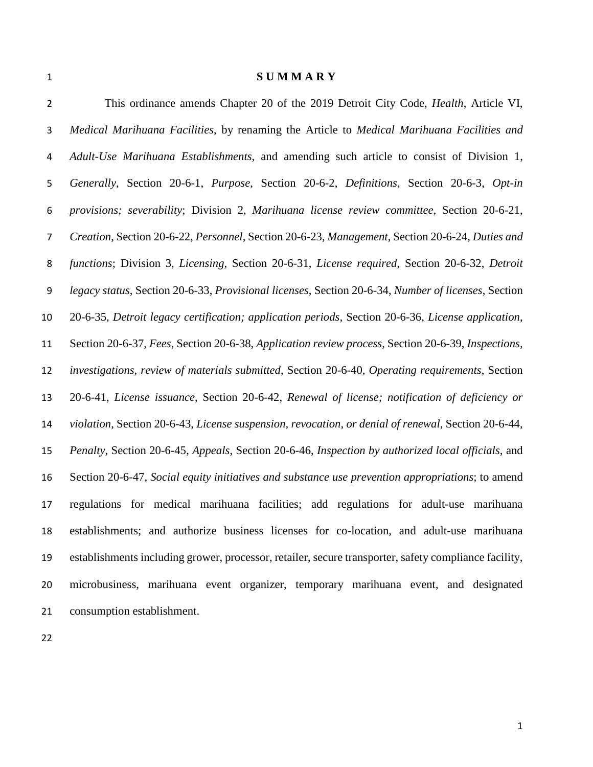**S U M M A R Y**

 This ordinance amends Chapter 20 of the 2019 Detroit City Code, *Health*, Article VI, *Medical Marihuana Facilities*, by renaming the Article to *Medical Marihuana Facilities and Adult-Use Marihuana Establishments*, and amending such article to consist of Division 1, *Generally*, Section 20-6-1, *Purpose*, Section 20-6-2, *Definitions*, Section 20-6-3, *Opt-in provisions; severability*; Division 2, *Marihuana license review committee*, Section 20-6-21, *Creation*, Section 20-6-22, *Personnel*, Section 20-6-23, *Management*, Section 20-6-24, *Duties and functions*; Division 3, *Licensing,* Section 20-6-31, *License required*, Section 20-6-32, *Detroit legacy status*, Section 20-6-33, *Provisional licenses*, Section 20-6-34, *Number of licenses*, Section 20-6-35, *Detroit legacy certification; application periods,* Section 20-6-36, *License application*, Section 20-6-37, *Fees*, Section 20-6-38, *Application review process*, Section 20-6-39, *Inspections, investigations, review of materials submitted*, Section 20-6-40, *Operating requirements*, Section 20-6-41, *License issuance*, Section 20-6-42, *Renewal of license; notification of deficiency or violation*, Section 20-6-43, *License suspension, revocation, or denial of renewal*, Section 20-6-44, *Penalty*, Section 20-6-45, *Appeals*, Section 20-6-46, *Inspection by authorized local officials*, and Section 20-6-47, *Social equity initiatives and substance use prevention appropriations*; to amend regulations for medical marihuana facilities; add regulations for adult-use marihuana establishments; and authorize business licenses for co-location, and adult-use marihuana establishments including grower, processor, retailer, secure transporter, safety compliance facility, microbusiness, marihuana event organizer, temporary marihuana event, and designated consumption establishment.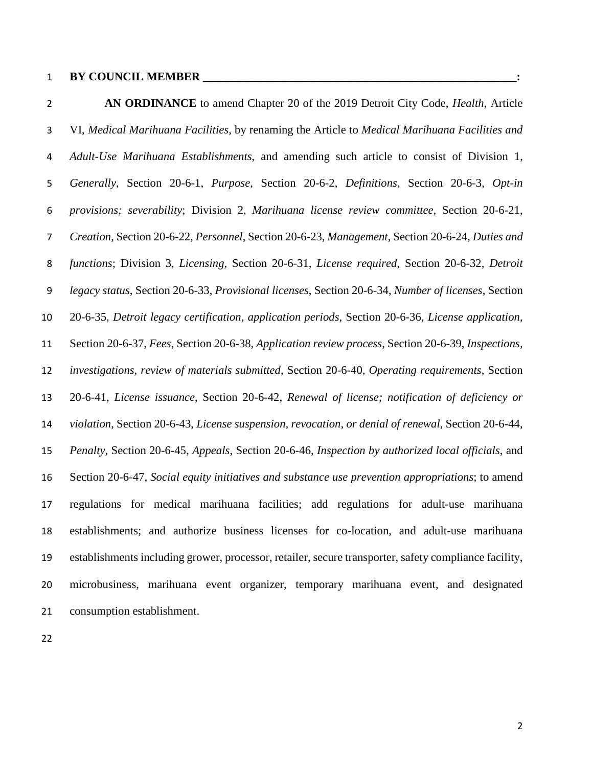**AN ORDINANCE** to amend Chapter 20 of the 2019 Detroit City Code, *Health*, Article VI, *Medical Marihuana Facilities*, by renaming the Article to *Medical Marihuana Facilities and Adult-Use Marihuana Establishments*, and amending such article to consist of Division 1, *Generally*, Section 20-6-1, *Purpose*, Section 20-6-2, *Definitions*, Section 20-6-3, *Opt-in provisions; severability*; Division 2, *Marihuana license review committee*, Section 20-6-21, *Creation*, Section 20-6-22, *Personnel*, Section 20-6-23, *Management*, Section 20-6-24, *Duties and functions*; Division 3, *Licensing,* Section 20-6-31, *License required*, Section 20-6-32, *Detroit legacy status*, Section 20-6-33, *Provisional licenses*, Section 20-6-34, *Number of licenses*, Section 20-6-35, *Detroit legacy certification, application periods*, Section 20-6-36, *License application*, Section 20-6-37, *Fees*, Section 20-6-38, *Application review process*, Section 20-6-39, *Inspections, investigations, review of materials submitted*, Section 20-6-40, *Operating requirements*, Section 20-6-41, *License issuance*, Section 20-6-42, *Renewal of license; notification of deficiency or violation*, Section 20-6-43, *License suspension, revocation, or denial of renewal*, Section 20-6-44, *Penalty*, Section 20-6-45, *Appeals*, Section 20-6-46, *Inspection by authorized local officials*, and Section 20-6-47, *Social equity initiatives and substance use prevention appropriations*; to amend regulations for medical marihuana facilities; add regulations for adult-use marihuana establishments; and authorize business licenses for co-location, and adult-use marihuana establishments including grower, processor, retailer, secure transporter, safety compliance facility, microbusiness, marihuana event organizer, temporary marihuana event, and designated consumption establishment.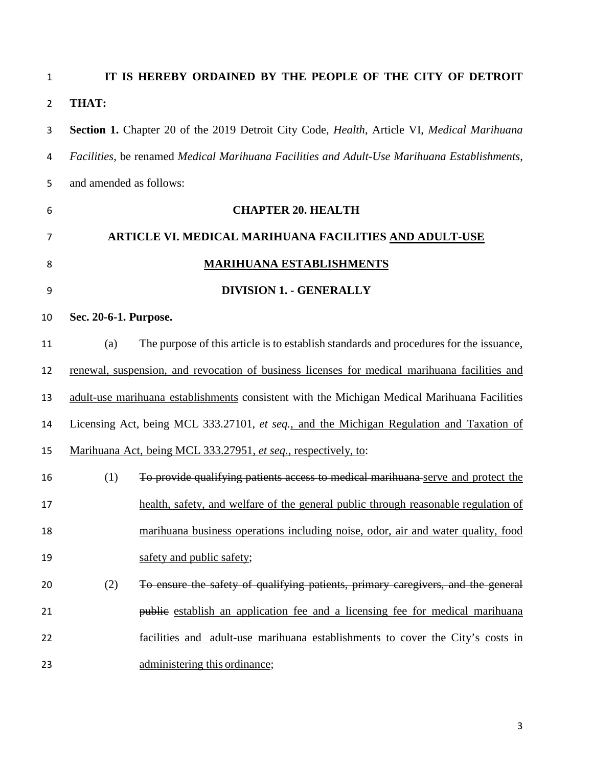**IT IS HEREBY ORDAINED BY THE PEOPLE OF THE CITY OF DETROIT THAT: Section 1.** Chapter 20 of the 2019 Detroit City Code, *Health*, Article VI, *Medical Marihuana Facilities*, be renamed *Medical Marihuana Facilities and Adult-Use Marihuana Establishments*, and amended as follows: **CHAPTER 20. HEALTH ARTICLE VI. MEDICAL MARIHUANA FACILITIES AND ADULT-USE MARIHUANA ESTABLISHMENTS DIVISION 1. - GENERALLY Sec. 20-6-1. Purpose.**  (a) The purpose of this article is to establish standards and procedures for the issuance, renewal, suspension, and revocation of business licenses for medical marihuana facilities and adult-use marihuana establishments consistent with the Michigan Medical Marihuana Facilities Licensing Act, being MCL 333.27101, *et seq.*, and the Michigan Regulation and Taxation of Marihuana Act, being MCL 333.27951, *et seq.*, respectively, to: (1) To provide qualifying patients access to medical marihuana serve and protect the health, safety, and welfare of the general public through reasonable regulation of marihuana business operations including noise, odor, air and water quality, food 19 safety and public safety; (2) To ensure the safety of qualifying patients, primary caregivers, and the general **public** establish an application fee and a licensing fee for medical marihuana facilities and adult-use marihuana establishments to cover the City's costs in administering this ordinance;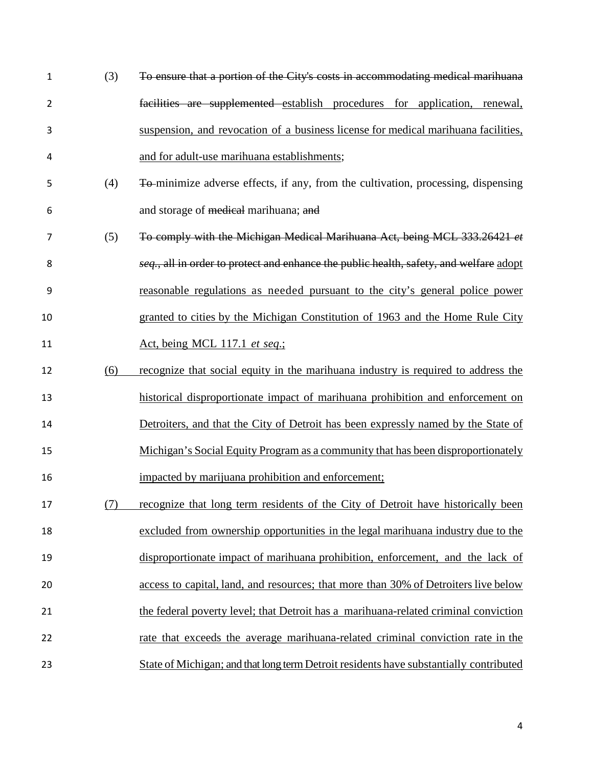| 1              | (3) | To ensure that a portion of the City's costs in accommodating medical marihuana        |
|----------------|-----|----------------------------------------------------------------------------------------|
| $\overline{2}$ |     | facilities are supplemented establish procedures for application, renewal,             |
| 3              |     | suspension, and revocation of a business license for medical marihuana facilities,     |
| 4              |     | and for adult-use marihuana establishments;                                            |
| 5              | (4) | To-minimize adverse effects, if any, from the cultivation, processing, dispensing      |
| 6              |     | and storage of medical marihuana; and                                                  |
| 7              | (5) | To comply with the Michigan Medical Marihuana Act, being MCL 333.26421 et              |
| 8              |     | seq., all in order to protect and enhance the public health, safety, and welfare adopt |
| 9              |     | reasonable regulations as needed pursuant to the city's general police power           |
| 10             |     | granted to cities by the Michigan Constitution of 1963 and the Home Rule City          |
| 11             |     | <u>Act, being MCL 117.1 et seq.;</u>                                                   |
| 12             | (6) | recognize that social equity in the marihuana industry is required to address the      |
| 13             |     | historical disproportionate impact of marihuana prohibition and enforcement on         |
| 14             |     | Detroiters, and that the City of Detroit has been expressly named by the State of      |
| 15             |     | Michigan's Social Equity Program as a community that has been disproportionately       |
| 16             |     | impacted by marijuana prohibition and enforcement;                                     |
| 17             | (7) | recognize that long term residents of the City of Detroit have historically been       |
| 18             |     | excluded from ownership opportunities in the legal marihuana industry due to the       |
| 19             |     | disproportionate impact of marihuana prohibition, enforcement, and the lack of         |
| 20             |     | access to capital, land, and resources; that more than 30% of Detroiters live below    |
| 21             |     | the federal poverty level; that Detroit has a marihuana-related criminal conviction    |
| 22             |     | rate that exceeds the average marihuana-related criminal conviction rate in the        |
| 23             |     | State of Michigan; and that long term Detroit residents have substantially contributed |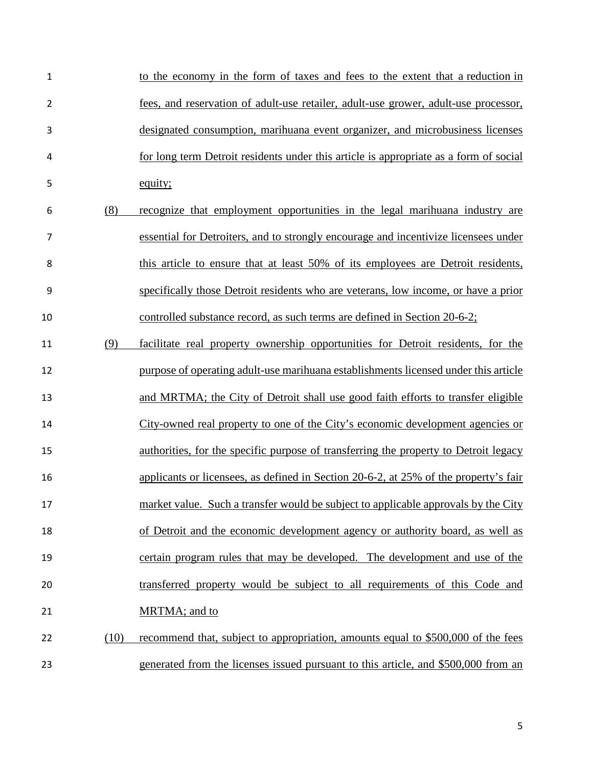| 1  |      | to the economy in the form of taxes and fees to the extent that a reduction in        |
|----|------|---------------------------------------------------------------------------------------|
| 2  |      | fees, and reservation of adult-use retailer, adult-use grower, adult-use processor,   |
| 3  |      | designated consumption, marihuana event organizer, and microbusiness licenses         |
| 4  |      | for long term Detroit residents under this article is appropriate as a form of social |
| 5  |      | equity;                                                                               |
| 6  | (8)  | recognize that employment opportunities in the legal marihuana industry are           |
| 7  |      | essential for Detroiters, and to strongly encourage and incentivize licensees under   |
| 8  |      | this article to ensure that at least 50% of its employees are Detroit residents,      |
| 9  |      | specifically those Detroit residents who are veterans, low income, or have a prior    |
| 10 |      | controlled substance record, as such terms are defined in Section 20-6-2;             |
| 11 | (9)  | facilitate real property ownership opportunities for Detroit residents, for the       |
| 12 |      | purpose of operating adult-use marihuana establishments licensed under this article   |
| 13 |      | and MRTMA; the City of Detroit shall use good faith efforts to transfer eligible      |
| 14 |      | City-owned real property to one of the City's economic development agencies or        |
| 15 |      | authorities, for the specific purpose of transferring the property to Detroit legacy  |
| 16 |      | applicants or licensees, as defined in Section 20-6-2, at 25% of the property's fair  |
| 17 |      | market value. Such a transfer would be subject to applicable approvals by the City    |
| 18 |      | of Detroit and the economic development agency or authority board, as well as         |
| 19 |      | certain program rules that may be developed. The development and use of the           |
| 20 |      | transferred property would be subject to all requirements of this Code and            |
| 21 |      | MRTMA; and to                                                                         |
| 22 | (10) | recommend that, subject to appropriation, amounts equal to \$500,000 of the fees      |
| 23 |      | generated from the licenses issued pursuant to this article, and \$500,000 from an    |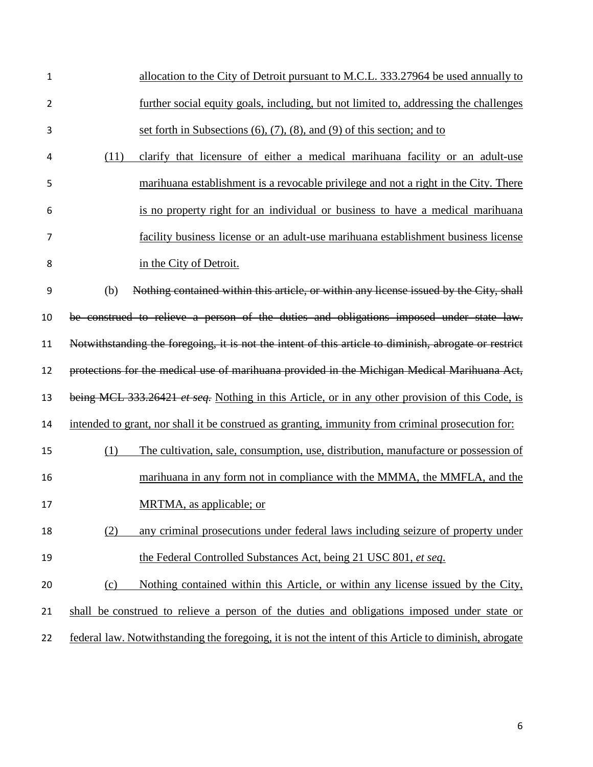| 1              | allocation to the City of Detroit pursuant to M.C.L. 333.27964 be used annually to                     |
|----------------|--------------------------------------------------------------------------------------------------------|
| $\overline{2}$ | further social equity goals, including, but not limited to, addressing the challenges                  |
| 3              | set forth in Subsections $(6)$ , $(7)$ , $(8)$ , and $(9)$ of this section; and to                     |
| 4              | clarify that licensure of either a medical marihuana facility or an adult-use<br>(11)                  |
| 5              | marihuana establishment is a revocable privilege and not a right in the City. There                    |
| 6              | is no property right for an individual or business to have a medical marihuana                         |
| 7              | facility business license or an adult-use marihuana establishment business license                     |
| 8              | in the City of Detroit.                                                                                |
| 9              | (b)<br>Nothing contained within this article, or within any license issued by the City, shall          |
| 10             | be construed to relieve a person of the duties and obligations imposed under state law.                |
| 11             | Notwithstanding the foregoing, it is not the intent of this article to diminish, abrogate or restrict  |
| 12             | protections for the medical use of marihuana provided in the Michigan Medical Marihuana Act,           |
| 13             | being MCL 333.26421 et seq. Nothing in this Article, or in any other provision of this Code, is        |
| 14             | intended to grant, nor shall it be construed as granting, immunity from criminal prosecution for:      |
| 15             | The cultivation, sale, consumption, use, distribution, manufacture or possession of<br>(1)             |
| 16             | marihuana in any form not in compliance with the MMMA, the MMFLA, and the                              |
| 17             | MRTMA, as applicable; or                                                                               |
| 18             | (2)<br>any criminal prosecutions under federal laws including seizure of property under                |
| 19             | the Federal Controlled Substances Act, being 21 USC 801, et seq.                                       |
| 20             | Nothing contained within this Article, or within any license issued by the City,<br>(c)                |
| 21             | shall be construed to relieve a person of the duties and obligations imposed under state or            |
| 22             | federal law. Notwithstanding the foregoing, it is not the intent of this Article to diminish, abrogate |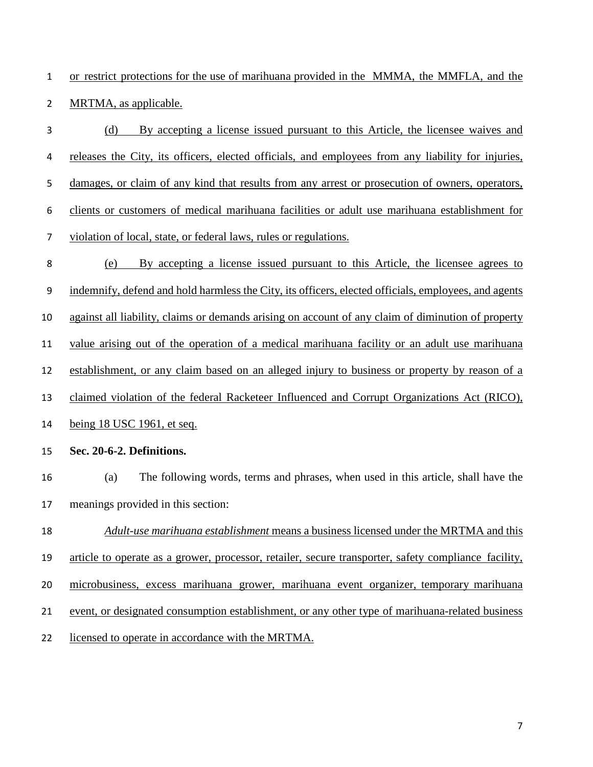or restrict protections for the use of marihuana provided in the MMMA, the MMFLA, and the MRTMA, as applicable.

- (d) By accepting a license issued pursuant to this Article, the licensee waives and releases the City, its officers, elected officials, and employees from any liability for injuries, damages, or claim of any kind that results from any arrest or prosecution of owners, operators, clients or customers of medical marihuana facilities or adult use marihuana establishment for violation of local, state, or federal laws, rules or regulations. (e) By accepting a license issued pursuant to this Article, the licensee agrees to indemnify, defend and hold harmless the City, its officers, elected officials, employees, and agents against all liability, claims or demands arising on account of any claim of diminution of property value arising out of the operation of a medical marihuana facility or an adult use marihuana establishment, or any claim based on an alleged injury to business or property by reason of a claimed violation of the federal Racketeer Influenced and Corrupt Organizations Act (RICO), being 18 USC 1961, et seq. **Sec. 20-6-2. Definitions.**  (a) The following words, terms and phrases, when used in this article, shall have the meanings provided in this section: *Adult-use marihuana establishment* means a business licensed under the MRTMA and this article to operate as a grower, processor, retailer, secure transporter, safety compliance facility, microbusiness, excess marihuana grower, marihuana event organizer, temporary marihuana event, or designated consumption establishment, or any other type of marihuana-related business
- licensed to operate in accordance with the MRTMA.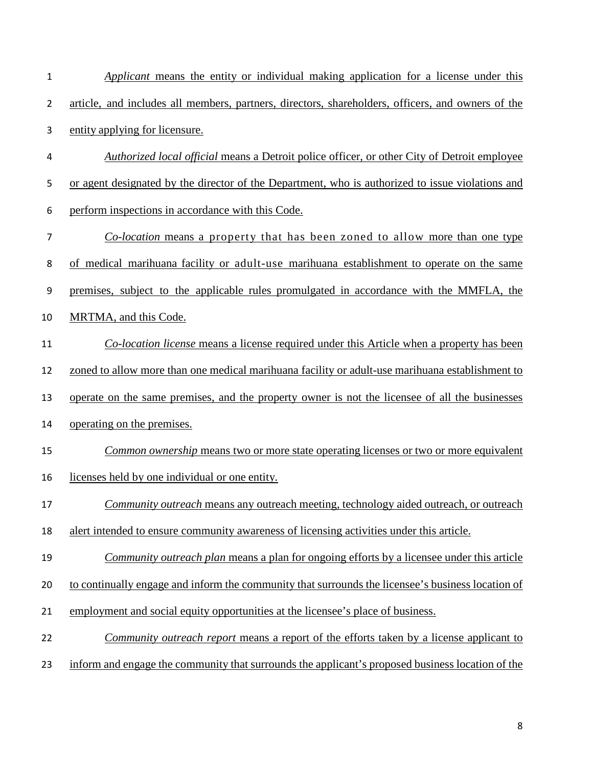| $\mathbf{1}$   | Applicant means the entity or individual making application for a license under this              |
|----------------|---------------------------------------------------------------------------------------------------|
| $\overline{2}$ | article, and includes all members, partners, directors, shareholders, officers, and owners of the |
| 3              | entity applying for licensure.                                                                    |
| 4              | Authorized local official means a Detroit police officer, or other City of Detroit employee       |
| 5              | or agent designated by the director of the Department, who is authorized to issue violations and  |
| 6              | perform inspections in accordance with this Code.                                                 |
| 7              | <i>Co-location</i> means a property that has been zoned to allow more than one type               |
| 8              | of medical marihuana facility or adult-use marihuana establishment to operate on the same         |
| 9              | premises, subject to the applicable rules promulgated in accordance with the MMFLA, the           |
| 10             | MRTMA, and this Code.                                                                             |
| 11             | <i>Co-location license</i> means a license required under this Article when a property has been   |
| 12             | zoned to allow more than one medical marihuana facility or adult-use marihuana establishment to   |
| 13             | operate on the same premises, and the property owner is not the licensee of all the businesses    |
| 14             | operating on the premises.                                                                        |
| 15             | Common ownership means two or more state operating licenses or two or more equivalent             |
| 16             | licenses held by one individual or one entity.                                                    |
| 17             | <i>Community outreach</i> means any outreach meeting, technology aided outreach, or outreach      |
| 18             | alert intended to ensure community awareness of licensing activities under this article.          |
| 19             | Community outreach plan means a plan for ongoing efforts by a licensee under this article         |
| 20             | to continually engage and inform the community that surrounds the licensee's business location of |
| 21             | employment and social equity opportunities at the licensee's place of business.                   |
| 22             | <i>Community outreach report</i> means a report of the efforts taken by a license applicant to    |
| 23             | inform and engage the community that surrounds the applicant's proposed business location of the  |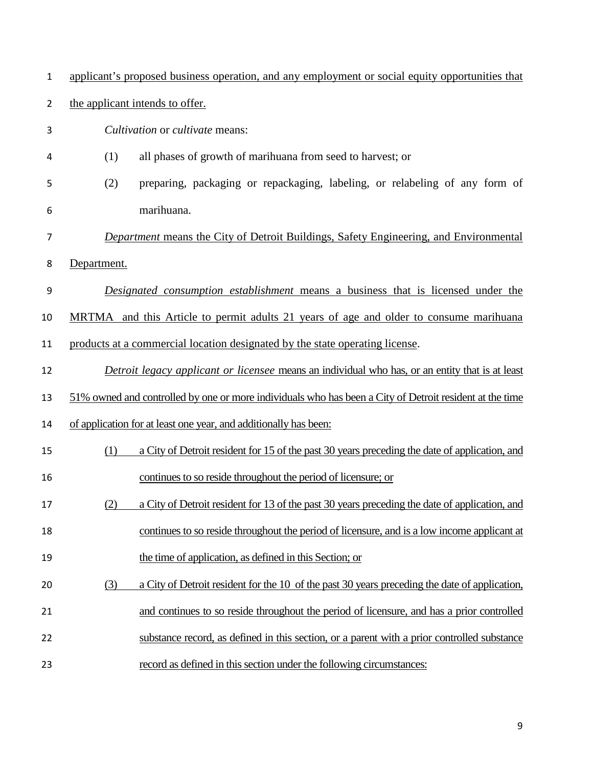| $\mathbf{1}$   | applicant's proposed business operation, and any employment or social equity opportunities that         |
|----------------|---------------------------------------------------------------------------------------------------------|
| $\overline{2}$ | the applicant intends to offer.                                                                         |
| 3              | Cultivation or cultivate means:                                                                         |
| 4              | (1)<br>all phases of growth of marihuana from seed to harvest; or                                       |
| 5              | preparing, packaging or repackaging, labeling, or relabeling of any form of<br>(2)                      |
| 6              | marihuana.                                                                                              |
| 7              | <b>Department means the City of Detroit Buildings, Safety Engineering, and Environmental</b>            |
| 8              | Department.                                                                                             |
| 9              | Designated consumption establishment means a business that is licensed under the                        |
| 10             | MRTMA and this Article to permit adults 21 years of age and older to consume marihuana                  |
| 11             | products at a commercial location designated by the state operating license.                            |
| 12             | Detroit legacy applicant or licensee means an individual who has, or an entity that is at least         |
| 13             | 51% owned and controlled by one or more individuals who has been a City of Detroit resident at the time |
| 14             | of application for at least one year, and additionally has been:                                        |
| 15             | a City of Detroit resident for 15 of the past 30 years preceding the date of application, and<br>(1)    |
| 16             | continues to so reside throughout the period of licensure; or                                           |
| 17             | a City of Detroit resident for 13 of the past 30 years preceding the date of application, and<br>(2)    |
| 18             | continues to so reside throughout the period of licensure, and is a low income applicant at             |
| 19             | the time of application, as defined in this Section; or                                                 |
| 20             | a City of Detroit resident for the 10 of the past 30 years preceding the date of application,<br>(3)    |
| 21             | and continues to so reside throughout the period of licensure, and has a prior controlled               |
| 22             | substance record, as defined in this section, or a parent with a prior controlled substance             |
| 23             | record as defined in this section under the following circumstances:                                    |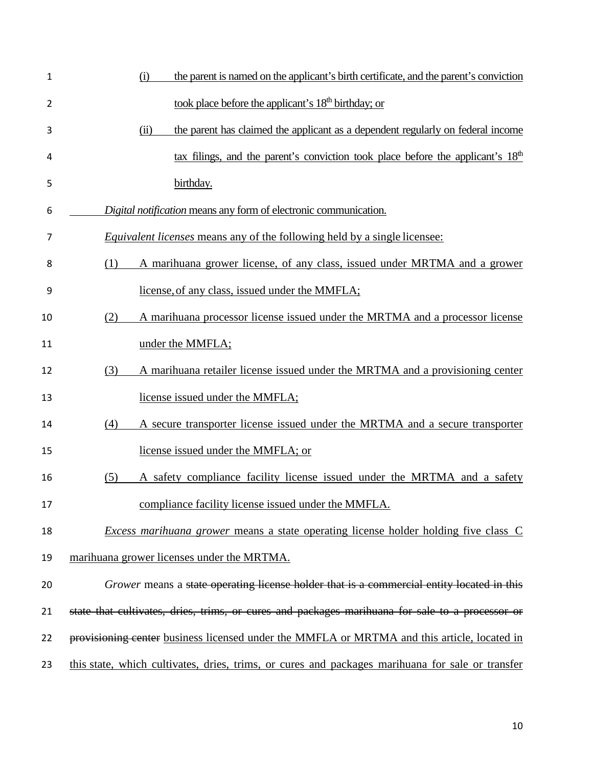| $\mathbf 1$    | the parent is named on the applicant's birth certificate, and the parent's conviction<br>(i)     |
|----------------|--------------------------------------------------------------------------------------------------|
| $\overline{2}$ | took place before the applicant's 18 <sup>th</sup> birthday; or                                  |
| 3              | the parent has claimed the applicant as a dependent regularly on federal income<br>(ii)          |
| 4              | tax filings, and the parent's conviction took place before the applicant's 18 <sup>th</sup>      |
| 5              | birthday.                                                                                        |
| 6              | Digital notification means any form of electronic communication.                                 |
| 7              | <i>Equivalent licenses</i> means any of the following held by a single licensee:                 |
| 8              | A marihuana grower license, of any class, issued under MRTMA and a grower<br>(1)                 |
| 9              | license, of any class, issued under the MMFLA;                                                   |
| 10             | A marihuana processor license issued under the MRTMA and a processor license<br>(2)              |
| 11             | under the MMFLA;                                                                                 |
| 12             | A marihuana retailer license issued under the MRTMA and a provisioning center<br>(3)             |
| 13             | license issued under the MMFLA;                                                                  |
| 14             | (4)<br>A secure transporter license issued under the MRTMA and a secure transporter              |
| 15             | license issued under the MMFLA; or                                                               |
| 16             | A safety compliance facility license issued under the MRTMA and a safety<br>(5)                  |
| 17             | compliance facility license issued under the MMFLA.                                              |
| 18             | <i>Excess marihuana grower</i> means a state operating license holder holding five class C       |
| 19             | marihuana grower licenses under the MRTMA.                                                       |
| 20             | Grower means a state operating license holder that is a commercial entity located in this        |
| 21             | state that cultivates, dries, trims, or cures and packages marihuana for sale to a processor or  |
| 22             | provisioning center business licensed under the MMFLA or MRTMA and this article, located in      |
| 23             | this state, which cultivates, dries, trims, or cures and packages marihuana for sale or transfer |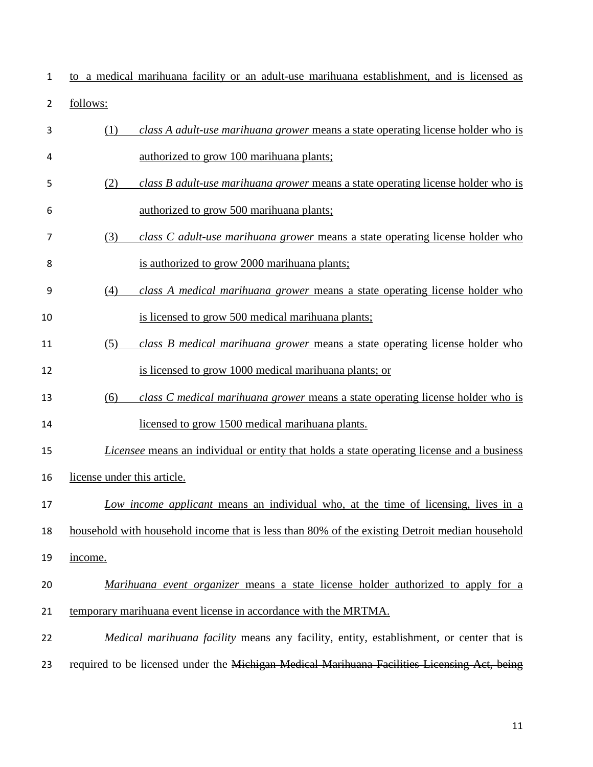| 1              | to a medical marihuana facility or an adult-use marihuana establishment, and is licensed as       |
|----------------|---------------------------------------------------------------------------------------------------|
| $\overline{2}$ | follows:                                                                                          |
| 3              | class A adult-use marihuana grower means a state operating license holder who is<br>(1)           |
| 4              | authorized to grow 100 marihuana plants;                                                          |
| 5              | class B adult-use marihuana grower means a state operating license holder who is<br>(2)           |
| 6              | authorized to grow 500 marihuana plants;                                                          |
| 7              | (3)<br>class C adult-use marihuana grower means a state operating license holder who              |
| 8              | is authorized to grow 2000 marihuana plants;                                                      |
| 9              | class A medical marihuana grower means a state operating license holder who<br>(4)                |
| 10             | is licensed to grow 500 medical marihuana plants;                                                 |
| 11             | (5)<br>class B medical marihuana grower means a state operating license holder who                |
| 12             | is licensed to grow 1000 medical marihuana plants; or                                             |
| 13             | class C medical marihuana grower means a state operating license holder who is<br>(6)             |
| 14             | licensed to grow 1500 medical marihuana plants.                                                   |
| 15             | <i>Licensee</i> means an individual or entity that holds a state operating license and a business |
| 16             | license under this article.                                                                       |
| 17             | Low income applicant means an individual who, at the time of licensing, lives in a                |
| 18             | household with household income that is less than 80% of the existing Detroit median household    |
| 19             | income.                                                                                           |
| 20             | Marihuana event organizer means a state license holder authorized to apply for a                  |
| 21             | temporary marihuana event license in accordance with the MRTMA.                                   |
| 22             | Medical marihuana facility means any facility, entity, establishment, or center that is           |
| 23             | required to be licensed under the Michigan Medical Marihuana Facilities Licensing Act, being      |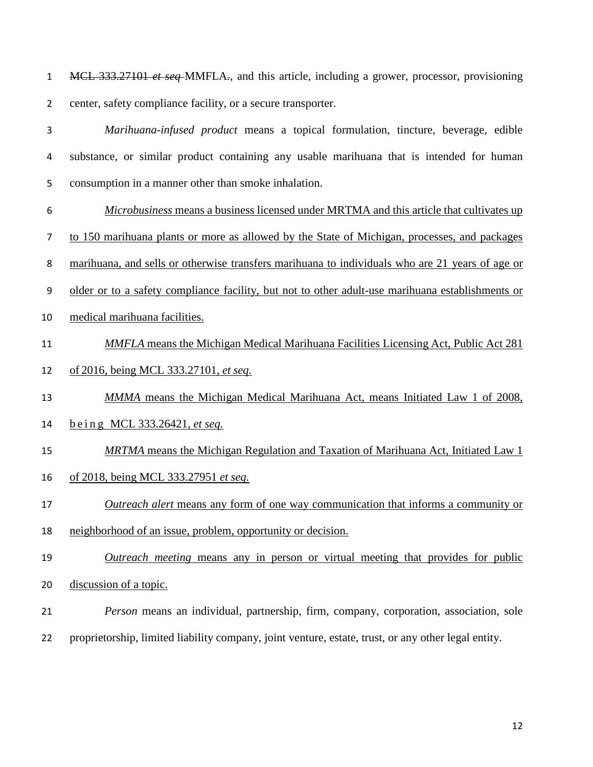MCL 333.27101 *et seq* MMFLA*.*, and this article, including a grower, processor, provisioning center, safety compliance facility, or a secure transporter.

- *Marihuana-infused product* means a topical formulation, tincture, beverage, edible substance, or similar product containing any usable marihuana that is intended for human consumption in a manner other than smoke inhalation. *Microbusiness* means a business licensed under MRTMA and this article that cultivates up to 150 marihuana plants or more as allowed by the State of Michigan, processes, and packages
- marihuana, and sells or otherwise transfers marihuana to individuals who are 21 years of age or
- older or to a safety compliance facility, but not to other adult-use marihuana establishments or
- medical marihuana facilities.
- *MMFLA* means the Michigan Medical Marihuana Facilities Licensing Act, Public Act 281
- of 2016, being MCL 333.27101, *et seq.*
- *MMMA* means the Michigan Medical Marihuana Act, means Initiated Law 1 of 2008, being MCL 333.26421, *et seq.*
- *MRTMA* means the Michigan Regulation and Taxation of Marihuana Act, Initiated Law 1 of 2018, being MCL 333.27951 *et seq.*
- *Outreach alert* means any form of one way communication that informs a community or
- neighborhood of an issue, problem, opportunity or decision.
- *Outreach meeting* means any in person or virtual meeting that provides for public discussion of a topic.
- *Person* means an individual, partnership, firm, company, corporation, association, sole
- proprietorship, limited liability company, joint venture, estate, trust, or any other legal entity.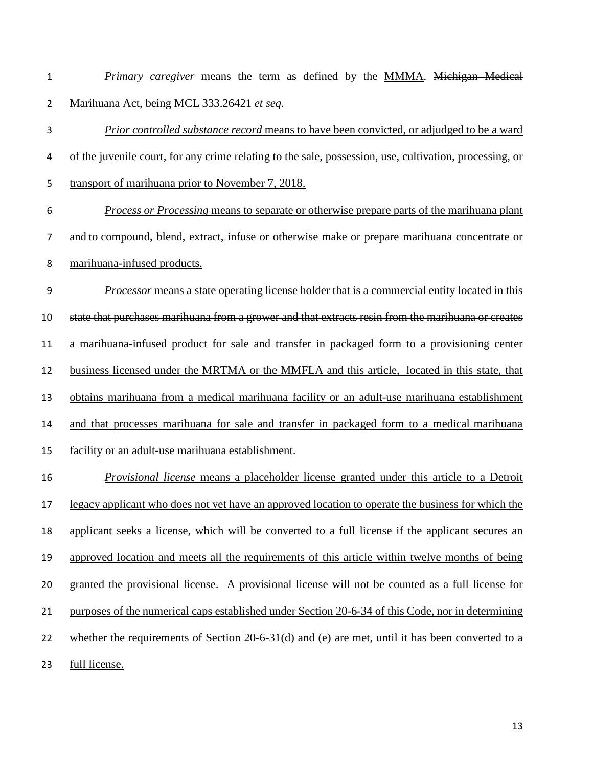*Primary caregiver* means the term as defined by the MMMA. Michigan Medical Marihuana Act, being MCL 333.26421 *et seq*.

- *Prior controlled substance record* means to have been convicted, or adjudged to be a ward of the juvenile court, for any crime relating to the sale, possession, use, cultivation, processing, or transport of marihuana prior to November 7, 2018. *Process or Processing* means to separate or otherwise prepare parts of the marihuana plant
- and to compound, blend, extract, infuse or otherwise make or prepare marihuana concentrate or
- marihuana-infused products.

 *Processor* means a state operating license holder that is a commercial entity located in this state that purchases marihuana from a grower and that extracts resin from the marihuana or creates a marihuana-infused product for sale and transfer in packaged form to a provisioning center business licensed under the MRTMA or the MMFLA and this article, located in this state, that obtains marihuana from a medical marihuana facility or an adult-use marihuana establishment and that processes marihuana for sale and transfer in packaged form to a medical marihuana facility or an adult-use marihuana establishment.

 *Provisional license* means a placeholder license granted under this article to a Detroit legacy applicant who does not yet have an approved location to operate the business for which the applicant seeks a license, which will be converted to a full license if the applicant secures an approved location and meets all the requirements of this article within twelve months of being granted the provisional license. A provisional license will not be counted as a full license for purposes of the numerical caps established under Section 20-6-34 of this Code, nor in determining whether the requirements of Section 20-6-31(d) and (e) are met, until it has been converted to a full license.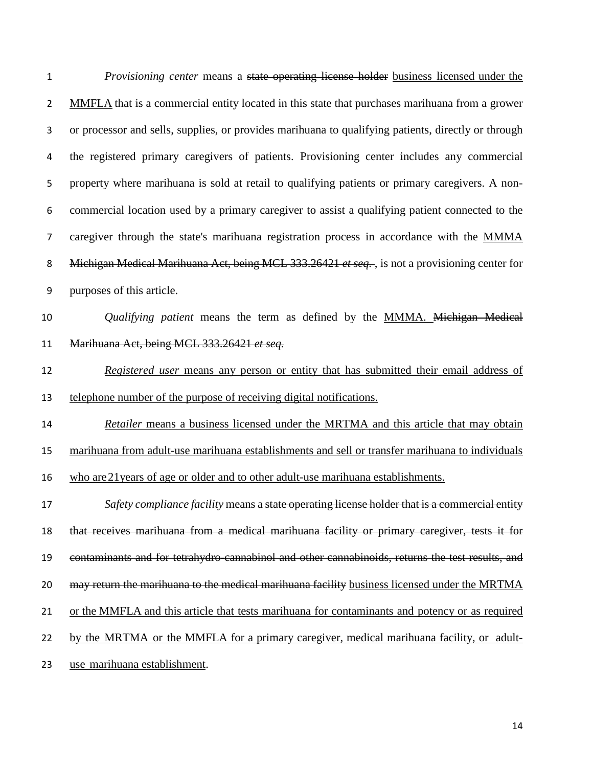*Provisioning center* means a state operating license holder business licensed under the MMFLA that is a commercial entity located in this state that purchases marihuana from a grower or processor and sells, supplies, or provides marihuana to qualifying patients, directly or through the registered primary caregivers of patients. Provisioning center includes any commercial property where marihuana is sold at retail to qualifying patients or primary caregivers. A non- commercial location used by a primary caregiver to assist a qualifying patient connected to the caregiver through the state's marihuana registration process in accordance with the MMMA Michigan Medical Marihuana Act, being MCL 333.26421 *et seq.* , is not a provisioning center for purposes of this article. *Qualifying patient* means the term as defined by the MMMA. Michigan Medical Marihuana Act, being MCL 333.26421 *et seq. Registered user* means any person or entity that has submitted their email address of telephone number of the purpose of receiving digital notifications. *Retailer* means a business licensed under the MRTMA and this article that may obtain marihuana from adult-use marihuana establishments and sell or transfer marihuana to individuals who are21years of age or older and to other adult-use marihuana establishments. *Safety compliance facility* means a state operating license holder that is a commercial entity that receives marihuana from a medical marihuana facility or primary caregiver, tests it for contaminants and for tetrahydro-cannabinol and other cannabinoids, returns the test results, and 20 may return the marihuana to the medical marihuana facility business licensed under the MRTMA or the MMFLA and this article that tests marihuana for contaminants and potency or as required by the MRTMA or the MMFLA for a primary caregiver, medical marihuana facility, or adult-use marihuana establishment.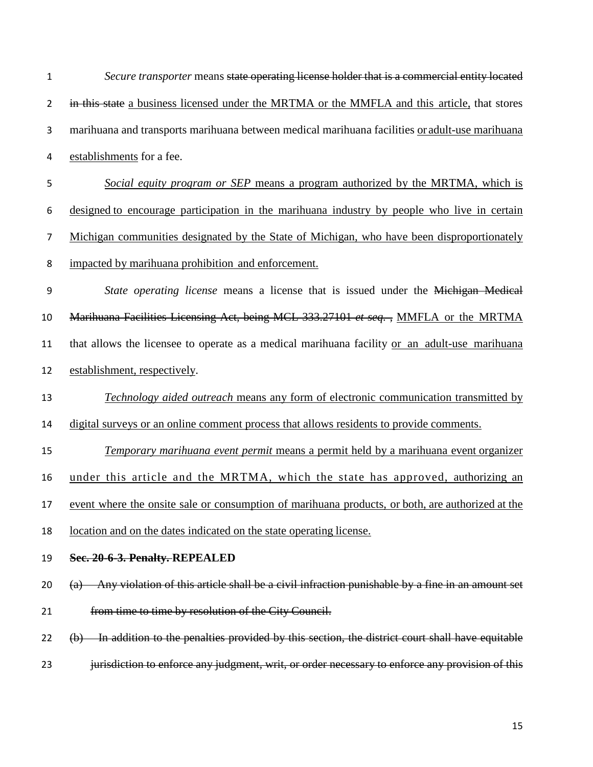| $\mathbf 1$    | Secure transporter means state operating license holder that is a commercial entity located                                  |
|----------------|------------------------------------------------------------------------------------------------------------------------------|
| $\overline{2}$ | in this state a business licensed under the MRTMA or the MMFLA and this article, that stores                                 |
| 3              | marihuana and transports marihuana between medical marihuana facilities or adult-use marihuana                               |
| $\overline{4}$ | establishments for a fee.                                                                                                    |
| 5              | Social equity program or SEP means a program authorized by the MRTMA, which is                                               |
| 6              | designed to encourage participation in the marihuana industry by people who live in certain                                  |
| $\overline{7}$ | Michigan communities designated by the State of Michigan, who have been disproportionately                                   |
| 8              | impacted by marihuana prohibition and enforcement.                                                                           |
| 9              | State operating license means a license that is issued under the Michigan Medical                                            |
| 10             | Marihuana Facilities Licensing Act, being MCL 333.27101 et seq., MMFLA or the MRTMA                                          |
| 11             | that allows the licensee to operate as a medical marihuana facility or an adult-use marihuana                                |
| 12             | establishment, respectively.                                                                                                 |
| 13             | <b>Technology aided outreach means any form of electronic communication transmitted by</b>                                   |
| 14             | digital surveys or an online comment process that allows residents to provide comments.                                      |
| 15             | Temporary marihuana event permit means a permit held by a marihuana event organizer                                          |
| 16             | under this article and the MRTMA, which the state has approved, authorizing an                                               |
| 17             | event where the onsite sale or consumption of marihuana products, or both, are authorized at the                             |
| 18             | location and on the dates indicated on the state operating license.                                                          |
| 19             | Sec. 20-6-3. Penalty. REPEALED                                                                                               |
| 20             | Any violation of this article shall be a civil infraction punishable by a fine in an amount set<br>$\left(\mathrm{a}\right)$ |
| 21             | from time to time by resolution of the City Council.                                                                         |
| 22             | (b) In addition to the penalties provided by this section, the district court shall have equitable                           |
| 23             | jurisdiction to enforce any judgment, writ, or order necessary to enforce any provision of this                              |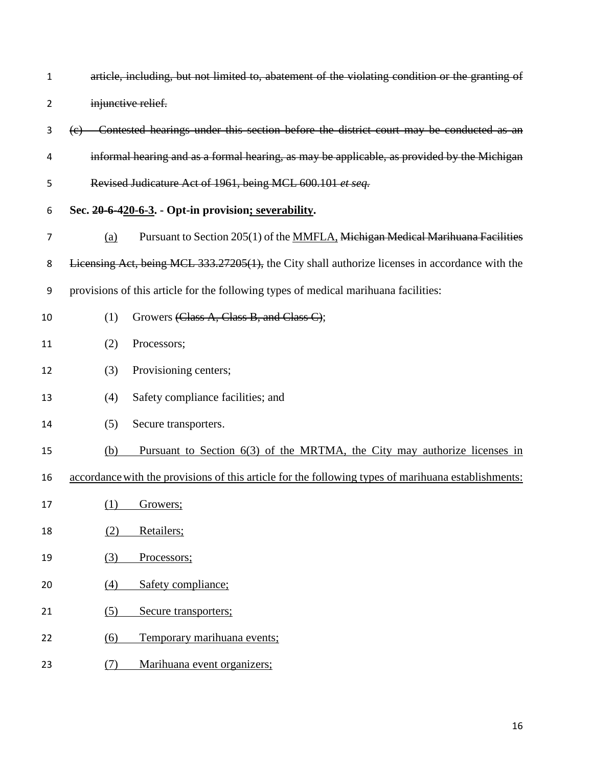| 1              | article, including, but not limited to, abatement of the violating condition or the granting of     |
|----------------|-----------------------------------------------------------------------------------------------------|
| $\overline{2}$ | injunctive relief.                                                                                  |
| 3              | (e) Contested hearings under this section before the district court may be conducted as an          |
| 4              | informal hearing and as a formal hearing, as may be applicable, as provided by the Michigan         |
| 5              | Revised Judicature Act of 1961, being MCL 600.101 et seq.                                           |
| 6              | Sec. 20-6-420-6-3. - Opt-in provision; severability.                                                |
| 7              | Pursuant to Section 205(1) of the MMFLA, Michigan Medical Marihuana Facilities<br>(a)               |
| 8              | Licensing Act, being MCL 333.27205(1), the City shall authorize licenses in accordance with the     |
| 9              | provisions of this article for the following types of medical marihuana facilities:                 |
| 10             | Growers (Class A, Class B, and Class C);<br>(1)                                                     |
| 11             | (2)<br>Processors;                                                                                  |
| 12             | Provisioning centers;<br>(3)                                                                        |
| 13             | Safety compliance facilities; and<br>(4)                                                            |
| 14             | (5)<br>Secure transporters.                                                                         |
| 15             | Pursuant to Section 6(3) of the MRTMA, the City may authorize licenses in<br>(b)                    |
| 16             | accordance with the provisions of this article for the following types of marihuana establishments: |
| 17             | (1)<br>Growers;                                                                                     |
| 18             | (2)<br>Retailers;                                                                                   |
| 19             | (3)<br>Processors;                                                                                  |
| 20             | Safety compliance;<br>(4)                                                                           |

- 21 (5) Secure transporters;
- 22 (6) Temporary marihuana events;
- 23 (7) Marihuana event organizers;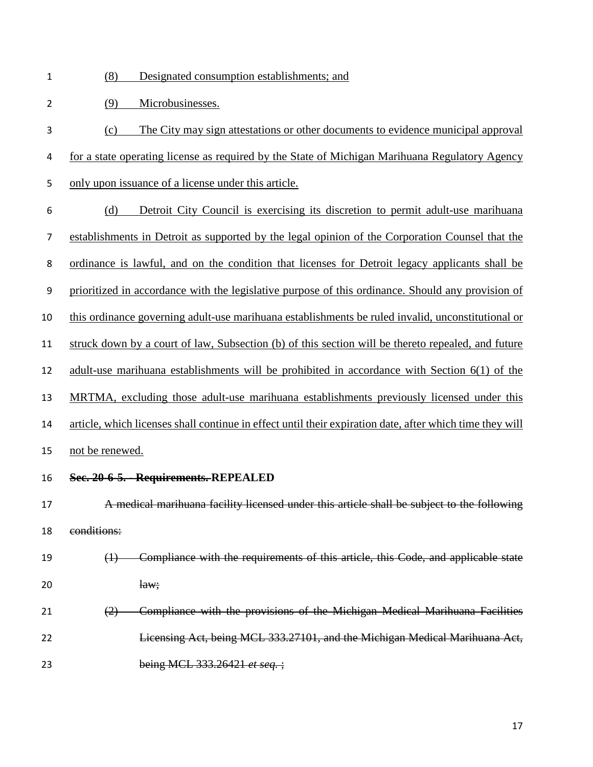- (8) Designated consumption establishments; and
- (9) Microbusinesses.
- (c) The City may sign attestations or other documents to evidence municipal approval for a state operating license as required by the State of Michigan Marihuana Regulatory Agency
- only upon issuance of a license under this article.
- (d) Detroit City Council is exercising its discretion to permit adult-use marihuana establishments in Detroit as supported by the legal opinion of the Corporation Counsel that the ordinance is lawful, and on the condition that licenses for Detroit legacy applicants shall be prioritized in accordance with the legislative purpose of this ordinance. Should any provision of this ordinance governing adult-use marihuana establishments be ruled invalid, unconstitutional or struck down by a court of law, Subsection (b) of this section will be thereto repealed, and future adult-use marihuana establishments will be prohibited in accordance with Section 6(1) of the MRTMA, excluding those adult-use marihuana establishments previously licensed under this article, which licenses shall continue in effect until their expiration date, after which time they will not be renewed.
- **Sec. 20-6-5. - Requirements. REPEALED**
- A medical marihuana facility licensed under this article shall be subject to the following conditions:
- (1) Compliance with the requirements of this article, this Code, and applicable state  $law;$
- (2) Compliance with the provisions of the Michigan Medical Marihuana Facilities Licensing Act, being MCL 333.27101, and the Michigan Medical Marihuana Act, being MCL 333.26421 *et seq.* ;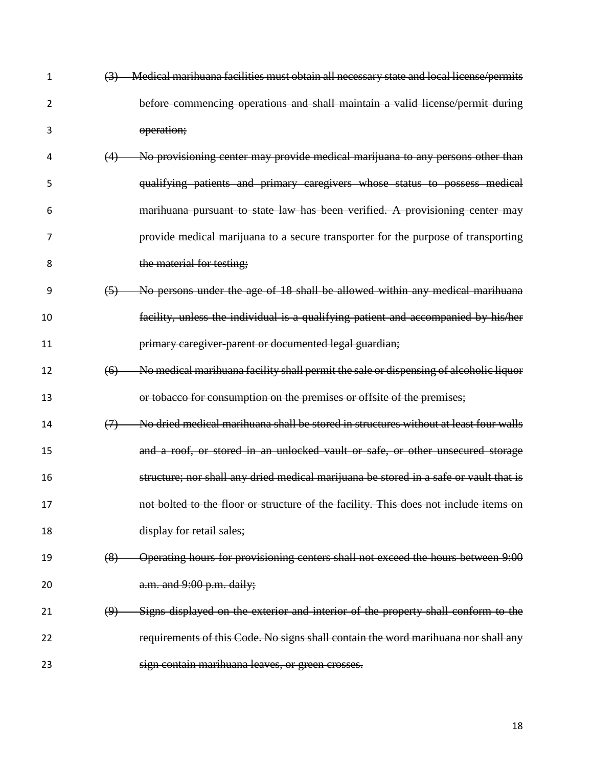| $\mathbf{1}$ | Medical marihuana facilities must obtain all necessary state and local license/permits<br>$\left(3\right)$ |
|--------------|------------------------------------------------------------------------------------------------------------|
| 2            | before commencing operations and shall maintain a valid license/permit during                              |
| 3            | operation;                                                                                                 |
| 4            | No provisioning center may provide medical marijuana to any persons other than                             |
| 5            | qualifying patients and primary caregivers whose status to possess medical                                 |
| 6            | marihuana pursuant to state law has been verified. A provisioning center may                               |
| 7            | provide medical marijuana to a secure transporter for the purpose of transporting                          |
| 8            | the material for testing;                                                                                  |
| 9            | No persons under the age of 18 shall be allowed within any medical marihuana<br>(5)                        |
| 10           | facility, unless the individual is a qualifying patient and accompanied by his/her                         |
| 11           | primary caregiver-parent or documented legal guardian;                                                     |
| 12           | No medical marihuana facility shall permit the sale or dispensing of alcoholic liquor<br>(6)               |
| 13           | or tobacco for consumption on the premises or offsite of the premises;                                     |
| 14           | No dried medical marihuana shall be stored in structures without at least four walls<br>(7)                |
| 15           | and a roof, or stored in an unlocked vault or safe, or other unsecured storage                             |
| 16           | structure; nor shall any dried medical marijuana be stored in a safe or vault that is                      |
| 17           | not bolted to the floor or structure of the facility. This does not include items on                       |
| 18           | display for retail sales;                                                                                  |
| 19           | Operating hours for provisioning centers shall not exceed the hours between 9:00<br>(8)                    |
| 20           | a.m. and 9:00 p.m. daily;                                                                                  |
| 21           | Signs displayed on the exterior and interior of the property shall conform to the<br>(9)                   |
| 22           | requirements of this Code. No signs shall contain the word marihuana nor shall any                         |
| 23           | sign contain marihuana leaves, or green crosses.                                                           |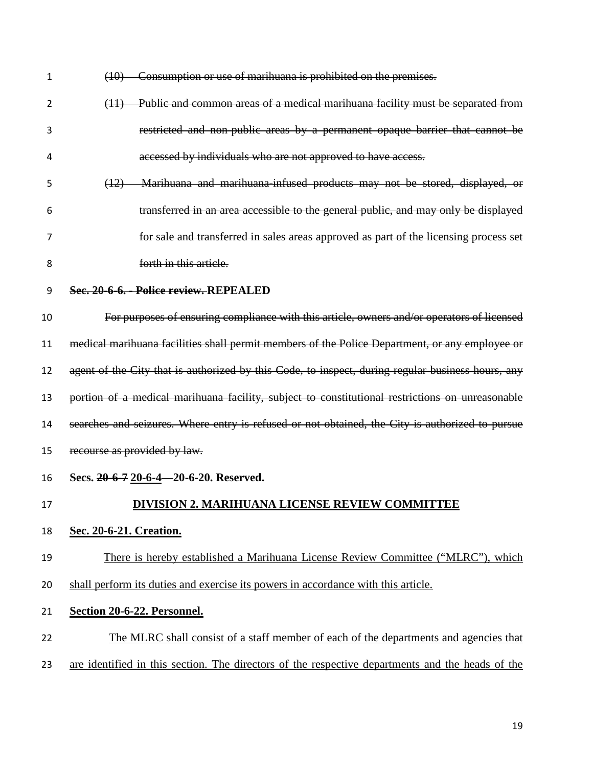| 1  | Consumption or use of marihuana is prohibited on the premises.<br>(10)                            |
|----|---------------------------------------------------------------------------------------------------|
| 2  | (11) Public and common areas of a medical marihuana facility must be separated from               |
| 3  | restricted and non-public areas by a permanent opaque barrier that cannot be                      |
| 4  | accessed by individuals who are not approved to have access.                                      |
| 5  | (12) Marihuana and marihuana infused products may not be stored, displayed, or                    |
| 6  | transferred in an area accessible to the general public, and may only be displayed                |
| 7  | for sale and transferred in sales areas approved as part of the licensing process set             |
| 8  | forth in this article.                                                                            |
| 9  | Sec. 20-6-6. - Police review. REPEALED                                                            |
| 10 | For purposes of ensuring compliance with this article, owners and/or operators of licensed        |
| 11 | medical marihuana facilities shall permit members of the Police Department, or any employee or    |
| 12 | agent of the City that is authorized by this Code, to inspect, during regular business hours, any |
| 13 | portion of a medical marihuana facility, subject to constitutional restrictions on unreasonable   |
| 14 | searches and seizures. Where entry is refused or not obtained, the City is authorized to pursue   |
| 15 | recourse as provided by law.                                                                      |
| 16 | Secs. 20-6-7 20-6-4-20-6-20. Reserved.                                                            |
| 17 | <b>DIVISION 2. MARIHUANA LICENSE REVIEW COMMITTEE</b>                                             |
| 18 | Sec. 20-6-21. Creation.                                                                           |
| 19 | There is hereby established a Marihuana License Review Committee ("MLRC"), which                  |
| 20 | shall perform its duties and exercise its powers in accordance with this article.                 |
| 21 | Section 20-6-22. Personnel.                                                                       |
| 22 | The MLRC shall consist of a staff member of each of the departments and agencies that             |
| 23 | are identified in this section. The directors of the respective departments and the heads of the  |
|    |                                                                                                   |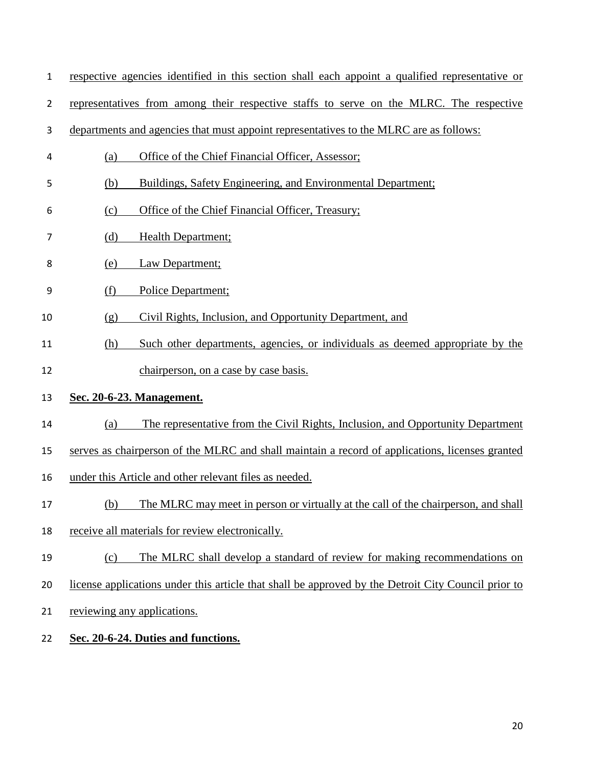| $\mathbf{1}$   | respective agencies identified in this section shall each appoint a qualified representative or     |
|----------------|-----------------------------------------------------------------------------------------------------|
| $\overline{2}$ | representatives from among their respective staffs to serve on the MLRC. The respective             |
| 3              | departments and agencies that must appoint representatives to the MLRC are as follows:              |
| 4              | Office of the Chief Financial Officer, Assessor;<br>(a)                                             |
| 5              | (b)<br>Buildings, Safety Engineering, and Environmental Department;                                 |
| 6              | Office of the Chief Financial Officer, Treasury;<br>(c)                                             |
| 7              | (d)<br>Health Department;                                                                           |
| 8              | Law Department;<br>(e)                                                                              |
| 9              | (f)<br>Police Department;                                                                           |
| 10             | Civil Rights, Inclusion, and Opportunity Department, and<br>(g)                                     |
| 11             | Such other departments, agencies, or individuals as deemed appropriate by the<br>(h)                |
| 12             | chairperson, on a case by case basis.                                                               |
| 13             | Sec. 20-6-23. Management.                                                                           |
| 14             | The representative from the Civil Rights, Inclusion, and Opportunity Department<br>(a)              |
| 15             | serves as chairperson of the MLRC and shall maintain a record of applications, licenses granted     |
| 16             | under this Article and other relevant files as needed.                                              |
| 17             | (b) The MLRC may meet in person or virtually at the call of the chairperson, and shall              |
| 18             | receive all materials for review electronically.                                                    |
| 19             | The MLRC shall develop a standard of review for making recommendations on<br>(c)                    |
| 20             | license applications under this article that shall be approved by the Detroit City Council prior to |
| 21             | reviewing any applications.                                                                         |
| 22             | Sec. 20-6-24. Duties and functions.                                                                 |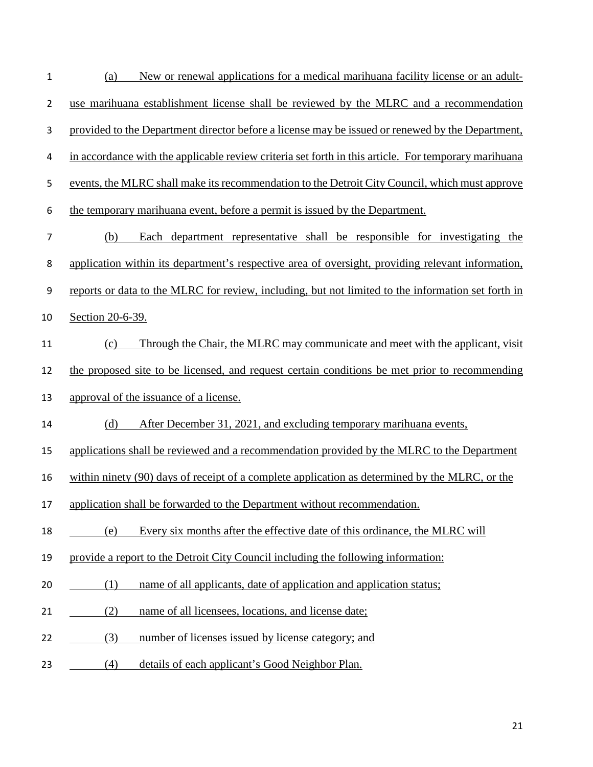| 1              | New or renewal applications for a medical marihuana facility license or an adult-<br>(a)             |
|----------------|------------------------------------------------------------------------------------------------------|
| $\overline{2}$ | use marihuana establishment license shall be reviewed by the MLRC and a recommendation               |
| 3              | provided to the Department director before a license may be issued or renewed by the Department,     |
| 4              | in accordance with the applicable review criteria set forth in this article. For temporary marihuana |
| 5              | events, the MLRC shall make its recommendation to the Detroit City Council, which must approve       |
| 6              | the temporary marihuana event, before a permit is issued by the Department.                          |
| $\overline{7}$ | Each department representative shall be responsible for investigating the<br>(b)                     |
| 8              | application within its department's respective area of oversight, providing relevant information,    |
| 9              | reports or data to the MLRC for review, including, but not limited to the information set forth in   |
| 10             | Section 20-6-39.                                                                                     |
| 11             | Through the Chair, the MLRC may communicate and meet with the applicant, visit<br>(c)                |
| 12             | the proposed site to be licensed, and request certain conditions be met prior to recommending        |
| 13             | approval of the issuance of a license.                                                               |
| 14             | (d)<br>After December 31, 2021, and excluding temporary marihuana events,                            |
| 15             | applications shall be reviewed and a recommendation provided by the MLRC to the Department           |
| 16             | within ninety (90) days of receipt of a complete application as determined by the MLRC, or the       |
| 17             | application shall be forwarded to the Department without recommendation.                             |
| 18             | Every six months after the effective date of this ordinance, the MLRC will<br>(e)                    |
| 19             | provide a report to the Detroit City Council including the following information:                    |
| 20             | name of all applicants, date of application and application status;<br>(1)                           |
| 21             | (2)<br>name of all licensees, locations, and license date;                                           |
| 22             | number of licenses issued by license category; and<br>(3)                                            |
| 23             | details of each applicant's Good Neighbor Plan.<br>(4)                                               |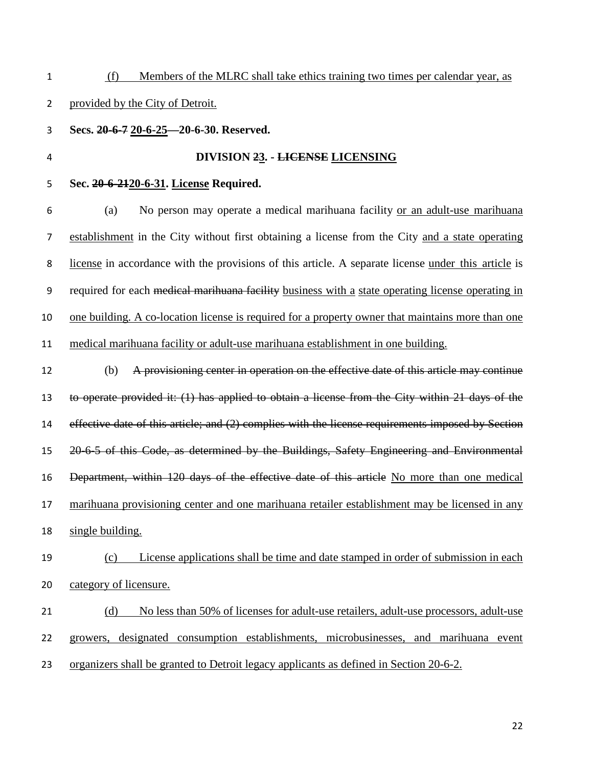(f) Members of the MLRC shall take ethics training two times per calendar year, as provided by the City of Detroit. **Secs. 20-6-7 20-6-25—20-6-30. Reserved. DIVISION 23. - LICENSE LICENSING Sec. 20-6-2120-6-31. License Required.**  (a) No person may operate a medical marihuana facility or an adult-use marihuana establishment in the City without first obtaining a license from the City and a state operating license in accordance with the provisions of this article. A separate license under this article is 9 required for each medical marihuana facility business with a state operating license operating in one building. A co-location license is required for a property owner that maintains more than one medical marihuana facility or adult-use marihuana establishment in one building. (b) A provisioning center in operation on the effective date of this article may continue to operate provided it: (1) has applied to obtain a license from the City within 21 days of the effective date of this article; and (2) complies with the license requirements imposed by Section 20-6-5 of this Code, as determined by the Buildings, Safety Engineering and Environmental 16 Department, within 120 days of the effective date of this article No more than one medical marihuana provisioning center and one marihuana retailer establishment may be licensed in any single building. (c) License applications shall be time and date stamped in order of submission in each category of licensure. (d) No less than 50% of licenses for adult-use retailers, adult-use processors, adult-use growers, designated consumption establishments, microbusinesses, and marihuana event organizers shall be granted to Detroit legacy applicants as defined in Section 20-6-2.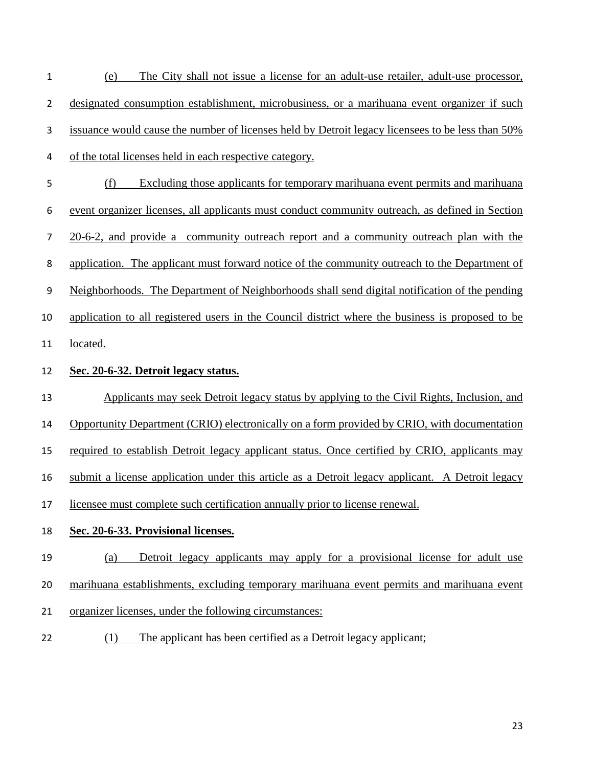| 1              | The City shall not issue a license for an adult-use retailer, adult-use processor,<br>(e)        |
|----------------|--------------------------------------------------------------------------------------------------|
| $\overline{2}$ | designated consumption establishment, microbusiness, or a marihuana event organizer if such      |
| 3              | issuance would cause the number of licenses held by Detroit legacy licensees to be less than 50% |
| 4              | of the total licenses held in each respective category.                                          |
| 5              | (f)<br>Excluding those applicants for temporary marihuana event permits and marihuana            |
| 6              | event organizer licenses, all applicants must conduct community outreach, as defined in Section  |
| 7              | 20-6-2, and provide a community outreach report and a community outreach plan with the           |
| 8              | application. The applicant must forward notice of the community outreach to the Department of    |
| 9              | Neighborhoods. The Department of Neighborhoods shall send digital notification of the pending    |
| 10             | application to all registered users in the Council district where the business is proposed to be |
| 11             | <u>located.</u>                                                                                  |
| 12             | Sec. 20-6-32. Detroit legacy status.                                                             |
| 13             | Applicants may seek Detroit legacy status by applying to the Civil Rights, Inclusion, and        |
| 14             | Opportunity Department (CRIO) electronically on a form provided by CRIO, with documentation      |
| 15             | required to establish Detroit legacy applicant status. Once certified by CRIO, applicants may    |
| 16             | submit a license application under this article as a Detroit legacy applicant. A Detroit legacy  |
| 17             | licensee must complete such certification annually prior to license renewal.                     |
| 18             | Sec. 20-6-33. Provisional licenses.                                                              |
| 19             | Detroit legacy applicants may apply for a provisional license for adult use<br>(a)               |
| 20             | marihuana establishments, excluding temporary marihuana event permits and marihuana event        |
| 21             | organizer licenses, under the following circumstances:                                           |
|                |                                                                                                  |

22 (1) The applicant has been certified as a Detroit legacy applicant;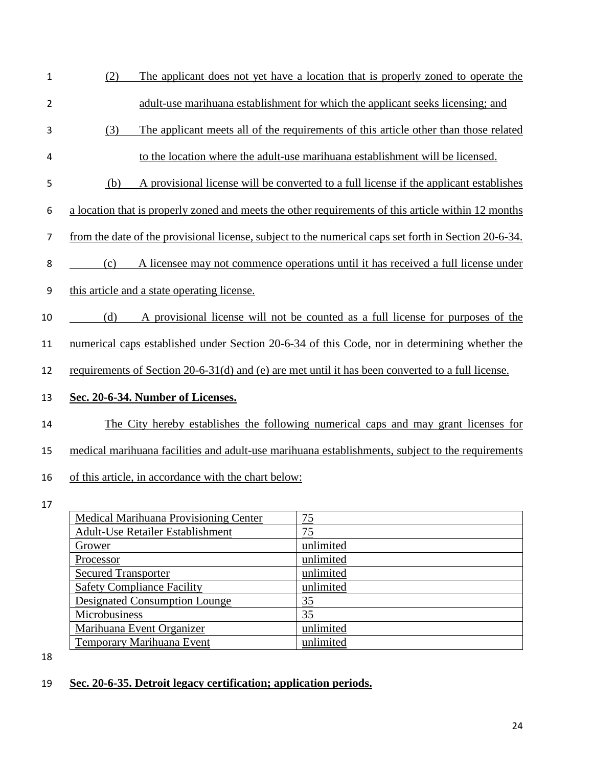- (2) The applicant does not yet have a location that is properly zoned to operate the adult-use marihuana establishment for which the applicant seeks licensing; and (3) The applicant meets all of the requirements of this article other than those related
- to the location where the adult-use marihuana establishment will be licensed.
- (b) A provisional license will be converted to a full license if the applicant establishes
- a location that is properly zoned and meets the other requirements of this article within 12 months
- from the date of the provisional license, subject to the numerical caps set forth in Section 20-6-34.
- (c) A licensee may not commence operations until it has received a full license under
- this article and a state operating license.
- (d) A provisional license will not be counted as a full license for purposes of the
- numerical caps established under Section 20-6-34 of this Code, nor in determining whether the
- requirements of Section 20-6-31(d) and (e) are met until it has been converted to a full license.

## **Sec. 20-6-34. Number of Licenses.**

- The City hereby establishes the following numerical caps and may grant licenses for
- medical marihuana facilities and adult-use marihuana establishments, subject to the requirements
- of this article, in accordance with the chart below:
- 

| Medical Marihuana Provisioning Center   | 75        |
|-----------------------------------------|-----------|
| <b>Adult-Use Retailer Establishment</b> | 75        |
| Grower                                  | unlimited |
| Processor                               | unlimited |
| <b>Secured Transporter</b>              | unlimited |
| <b>Safety Compliance Facility</b>       | unlimited |
| Designated Consumption Lounge           | <u>35</u> |
| Microbusiness                           | 35        |
| Marihuana Event Organizer               | unlimited |
| Temporary Marihuana Event               | unlimited |

## **Sec. 20-6-35. Detroit legacy certification; application periods.**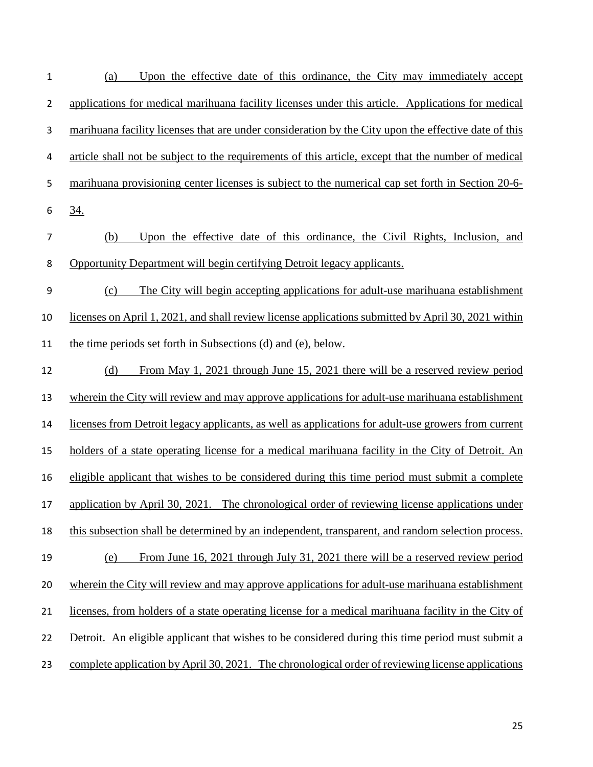| $\mathbf{1}$   | Upon the effective date of this ordinance, the City may immediately accept<br>(a)                    |
|----------------|------------------------------------------------------------------------------------------------------|
| $\overline{2}$ | applications for medical marihuana facility licenses under this article. Applications for medical    |
| 3              | marihuana facility licenses that are under consideration by the City upon the effective date of this |
| 4              | article shall not be subject to the requirements of this article, except that the number of medical  |
| 5              | marihuana provisioning center licenses is subject to the numerical cap set forth in Section 20-6-    |
| 6              | <u>34.</u>                                                                                           |
| 7              | Upon the effective date of this ordinance, the Civil Rights, Inclusion, and<br>(b)                   |
| 8              | Opportunity Department will begin certifying Detroit legacy applicants.                              |
| 9              | The City will begin accepting applications for adult-use marihuana establishment<br>(c)              |
| 10             | licenses on April 1, 2021, and shall review license applications submitted by April 30, 2021 within  |
| 11             | the time periods set forth in Subsections (d) and (e), below.                                        |
| 12             | From May 1, 2021 through June 15, 2021 there will be a reserved review period<br>(d)                 |
| 13             | wherein the City will review and may approve applications for adult-use marihuana establishment      |
| 14             | licenses from Detroit legacy applicants, as well as applications for adult-use growers from current  |
| 15             | holders of a state operating license for a medical marihuana facility in the City of Detroit. An     |
| 16             | eligible applicant that wishes to be considered during this time period must submit a complete       |
| 17             | application by April 30, 2021. The chronological order of reviewing license applications under       |
| 18             | this subsection shall be determined by an independent, transparent, and random selection process.    |
| 19             | From June 16, 2021 through July 31, 2021 there will be a reserved review period<br>(e)               |
| 20             | wherein the City will review and may approve applications for adult-use marihuana establishment      |
| 21             | licenses, from holders of a state operating license for a medical marihuana facility in the City of  |
| 22             | Detroit. An eligible applicant that wishes to be considered during this time period must submit a    |
| 23             | complete application by April 30, 2021. The chronological order of reviewing license applications    |
|                |                                                                                                      |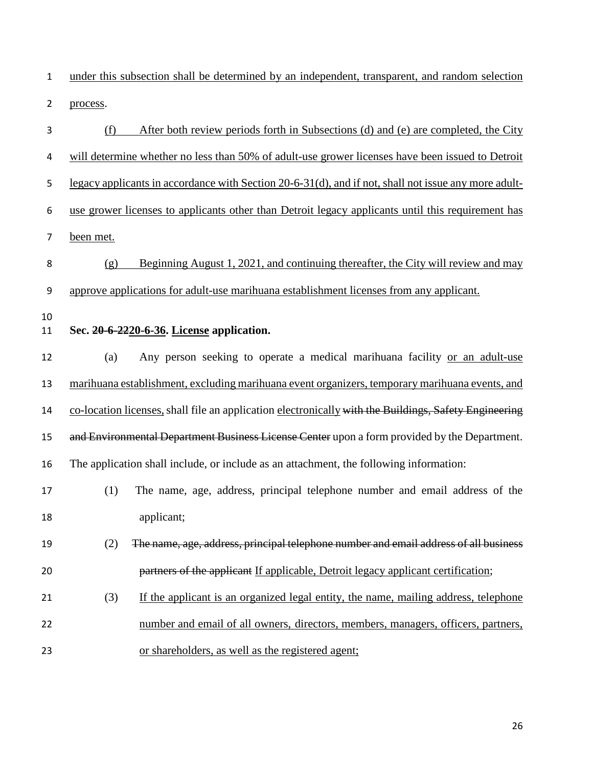1 under this subsection shall be determined by an independent, transparent, and random selection 2 process.

| 3        | After both review periods forth in Subsections (d) and (e) are completed, the City<br>(f)             |
|----------|-------------------------------------------------------------------------------------------------------|
| 4        | will determine whether no less than 50% of adult-use grower licenses have been issued to Detroit      |
| 5        | legacy applicants in accordance with Section 20-6-31(d), and if not, shall not issue any more adult-  |
| 6        | use grower licenses to applicants other than Detroit legacy applicants until this requirement has     |
| 7        | been met.                                                                                             |
| 8        | Beginning August 1, 2021, and continuing thereafter, the City will review and may<br>(g)              |
| 9        | approve applications for adult-use marihuana establishment licenses from any applicant.               |
| 10<br>11 | Sec. 20-6-2220-6-36. License application.                                                             |
| 12       | Any person seeking to operate a medical marihuana facility or an adult-use<br>(a)                     |
| 13       | marihuana establishment, excluding marihuana event organizers, temporary marihuana events, and        |
| 14       | co-location licenses, shall file an application electronically with the Buildings, Safety Engineering |
| 15       | and Environmental Department Business License Center upon a form provided by the Department.          |
| 16       | The application shall include, or include as an attachment, the following information:                |
| 17       | The name, age, address, principal telephone number and email address of the<br>(1)                    |
| 18       | applicant;                                                                                            |
| 19       | The name, age, address, principal telephone number and email address of all business<br>(2)           |
| 20       | partners of the applicant If applicable, Detroit legacy applicant certification;                      |
| 21       | (3)<br>If the applicant is an organized legal entity, the name, mailing address, telephone            |
| 22       | number and email of all owners, directors, members, managers, officers, partners,                     |
| 23       | or shareholders, as well as the registered agent;                                                     |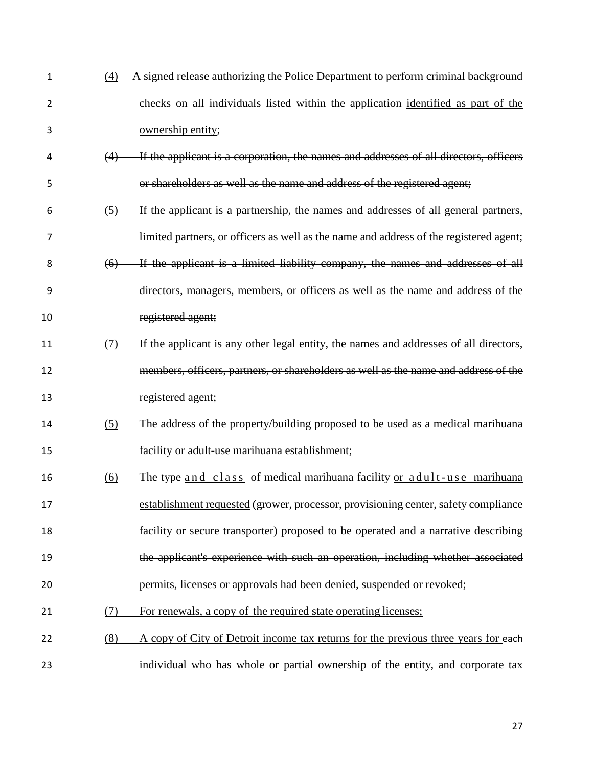| $\mathbf{1}$   | $\underline{(4)}$ | A signed release authorizing the Police Department to perform criminal background      |
|----------------|-------------------|----------------------------------------------------------------------------------------|
| $\overline{2}$ |                   | checks on all individuals listed within the application identified as part of the      |
| 3              |                   | ownership entity;                                                                      |
| 4              | (4)               | If the applicant is a corporation, the names and addresses of all directors, officers  |
| 5              |                   | or shareholders as well as the name and address of the registered agent;               |
| 6              | (5)               | If the applicant is a partnership, the names and addresses of all general partners,    |
| 7              |                   | limited partners, or officers as well as the name and address of the registered agent; |
| 8              | (6)               | If the applicant is a limited liability company, the names and addresses of all        |
| 9              |                   | directors, managers, members, or officers as well as the name and address of the       |
| 10             |                   | registered agent;                                                                      |
| 11             | $\leftrightarrow$ | If the applicant is any other legal entity, the names and addresses of all directors,  |
| 12             |                   | members, officers, partners, or shareholders as well as the name and address of the    |
| 13             |                   | registered agent;                                                                      |
| 14             | (5)               | The address of the property/building proposed to be used as a medical marihuana        |
| 15             |                   | facility or adult-use marihuana establishment;                                         |
| 16             | $\underline{(6)}$ | The type and class of medical marihuana facility or adult-use marihuana                |
| 17             |                   | establishment requested (grower, processor, provisioning center, safety compliance     |
| 18             |                   | facility or secure transporter) proposed to be operated and a narrative describing     |
| 19             |                   | the applicant's experience with such an operation, including whether associated        |
| 20             |                   | permits, licenses or approvals had been denied, suspended or revoked;                  |
| 21             | (7)               | For renewals, a copy of the required state operating licenses;                         |
| 22             | (8)               | A copy of City of Detroit income tax returns for the previous three years for each     |
| 23             |                   | individual who has whole or partial ownership of the entity, and corporate tax         |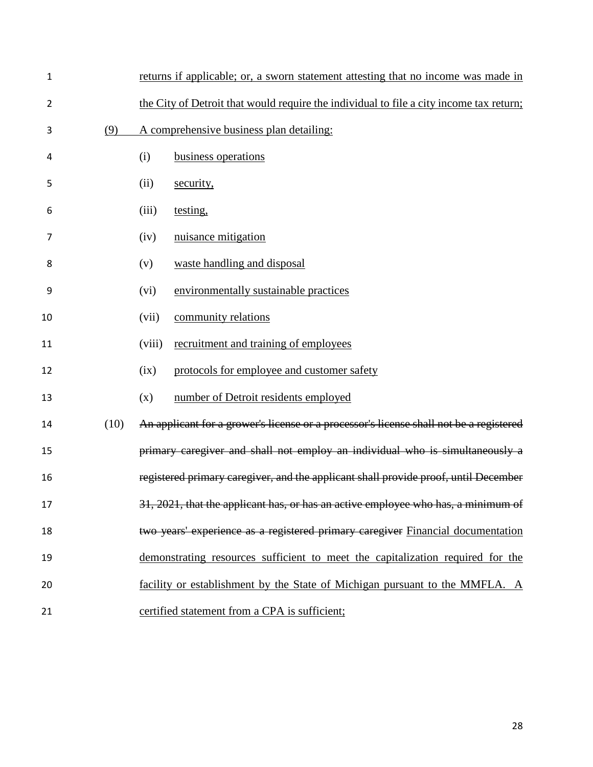| $\mathbf 1$    |      | returns if applicable; or, a sworn statement attesting that no income was made in       |
|----------------|------|-----------------------------------------------------------------------------------------|
| $\overline{2}$ |      | the City of Detroit that would require the individual to file a city income tax return; |
| 3              | (9)  | A comprehensive business plan detailing:                                                |
| 4              |      | business operations<br>(i)                                                              |
| 5              |      | (ii)<br>security,                                                                       |
| 6              |      | (iii)<br>testing,                                                                       |
| 7              |      | nuisance mitigation<br>(iv)                                                             |
| 8              |      | waste handling and disposal<br>(v)                                                      |
| 9              |      | environmentally sustainable practices<br>(vi)                                           |
| 10             |      | community relations<br>(vii)                                                            |
| 11             |      | (viii)<br>recruitment and training of employees                                         |
| 12             |      | protocols for employee and customer safety<br>(ix)                                      |
| 13             |      | number of Detroit residents employed<br>(x)                                             |
| 14             | (10) | An applicant for a grower's license or a processor's license shall not be a registered  |
| 15             |      | primary caregiver and shall not employ an individual who is simultaneously a            |
| 16             |      | registered primary caregiver, and the applicant shall provide proof, until December     |
| 17             |      | 31, 2021, that the applicant has, or has an active employee who has, a minimum of       |
| 18             |      | two years' experience as a registered primary caregiver Financial documentation         |
| 19             |      | demonstrating resources sufficient to meet the capitalization required for the          |
| 20             |      | facility or establishment by the State of Michigan pursuant to the MMFLA. A             |
| 21             |      | certified statement from a CPA is sufficient;                                           |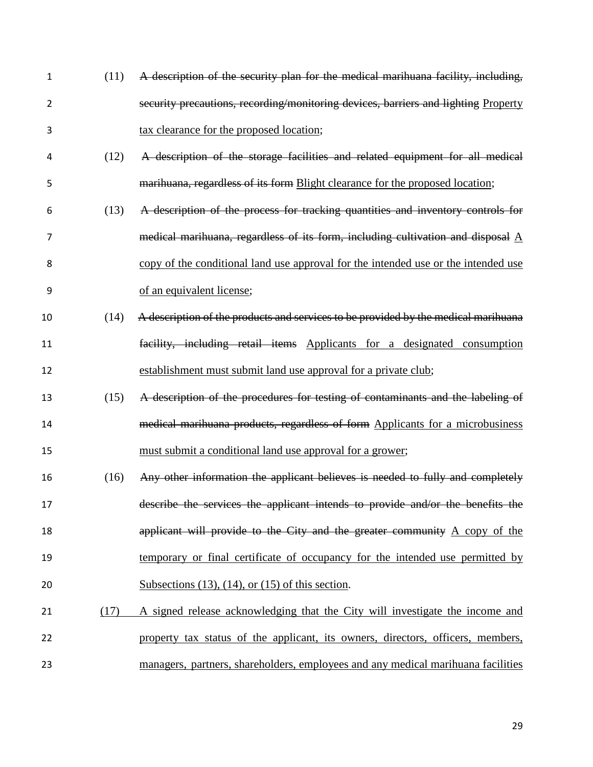| 1  | (11) | A description of the security plan for the medical marihuana facility, including,             |
|----|------|-----------------------------------------------------------------------------------------------|
| 2  |      | security precautions, recording/monitoring devices, barriers and lighting Property            |
| 3  |      | tax clearance for the proposed location;                                                      |
| 4  | (12) | A description of the storage facilities and related equipment for all medical                 |
| 5  |      | marihuana, regardless of its form Blight clearance for the proposed location;                 |
| 6  | (13) | A description of the process for tracking quantities and inventory controls for               |
| 7  |      | medical marihuana, regardless of its form, including cultivation and disposal $\underline{A}$ |
| 8  |      | copy of the conditional land use approval for the intended use or the intended use            |
| 9  |      | of an equivalent license;                                                                     |
| 10 | (14) | A description of the products and services to be provided by the medical marihuana            |
| 11 |      | facility, including retail items Applicants for a designated consumption                      |
| 12 |      | establishment must submit land use approval for a private club;                               |
| 13 | (15) | A description of the procedures for testing of contaminants and the labeling of               |
| 14 |      | medical marihuana products, regardless of form Applicants for a microbusiness                 |
| 15 |      | must submit a conditional land use approval for a grower;                                     |
| 16 | (16) | Any other information the applicant believes is needed to fully and completely                |
| 17 |      | describe the services the applicant intends to provide and/or the benefits the                |
| 18 |      | applicant will provide to the City and the greater community $A$ copy of the                  |
| 19 |      | temporary or final certificate of occupancy for the intended use permitted by                 |
| 20 |      | Subsections $(13)$ , $(14)$ , or $(15)$ of this section.                                      |
| 21 | (17) | A signed release acknowledging that the City will investigate the income and                  |
| 22 |      | property tax status of the applicant, its owners, directors, officers, members,               |
| 23 |      | managers, partners, shareholders, employees and any medical marihuana facilities              |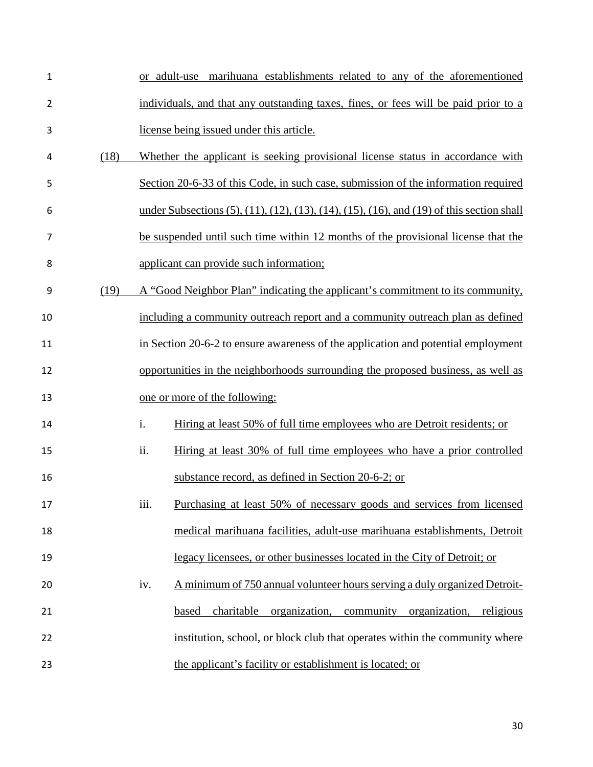| $\mathbf{1}$   |      | or adult-use marihuana establishments related to any of the aforementioned                                       |
|----------------|------|------------------------------------------------------------------------------------------------------------------|
| $\overline{2}$ |      | individuals, and that any outstanding taxes, fines, or fees will be paid prior to a                              |
| 3              |      | license being issued under this article.                                                                         |
| 4              | (18) | Whether the applicant is seeking provisional license status in accordance with                                   |
| 5              |      | Section 20-6-33 of this Code, in such case, submission of the information required                               |
| 6              |      | under Subsections $(5)$ , $(11)$ , $(12)$ , $(13)$ , $(14)$ , $(15)$ , $(16)$ , and $(19)$ of this section shall |
| $\overline{7}$ |      | be suspended until such time within 12 months of the provisional license that the                                |
| 8              |      | applicant can provide such information;                                                                          |
| 9              | (19) | A "Good Neighbor Plan" indicating the applicant's commitment to its community,                                   |
| 10             |      | including a community outreach report and a community outreach plan as defined                                   |
| 11             |      | in Section 20-6-2 to ensure awareness of the application and potential employment                                |
| 12             |      | opportunities in the neighborhoods surrounding the proposed business, as well as                                 |
| 13             |      | one or more of the following:                                                                                    |
| 14             |      | i.<br>Hiring at least 50% of full time employees who are Detroit residents; or                                   |
| 15             |      | ii.<br>Hiring at least 30% of full time employees who have a prior controlled                                    |
| 16             |      | substance record, as defined in Section 20-6-2; or                                                               |
| 17             |      | Purchasing at least 50% of necessary goods and services from licensed<br>iii.                                    |
| 18             |      | medical marihuana facilities, adult-use marihuana establishments, Detroit                                        |
| 19             |      | legacy licensees, or other businesses located in the City of Detroit; or                                         |
| 20             |      | A minimum of 750 annual volunteer hours serving a duly organized Detroit-<br>iv.                                 |
| 21             |      | community<br>charitable<br>organization,<br>organization,<br>religious<br>based                                  |
| 22             |      | institution, school, or block club that operates within the community where                                      |
| 23             |      | the applicant's facility or establishment is located; or                                                         |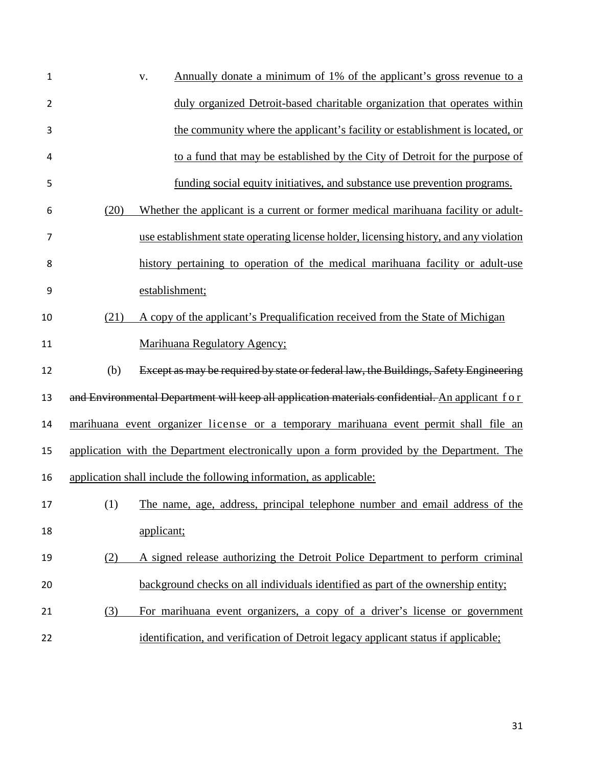| 1              | Annually donate a minimum of 1% of the applicant's gross revenue to a<br>v.                     |
|----------------|-------------------------------------------------------------------------------------------------|
| $\overline{2}$ | duly organized Detroit-based charitable organization that operates within                       |
| 3              | the community where the applicant's facility or establishment is located, or                    |
| 4              | to a fund that may be established by the City of Detroit for the purpose of                     |
| 5              | funding social equity initiatives, and substance use prevention programs.                       |
| 6              | Whether the applicant is a current or former medical marihuana facility or adult-<br>(20)       |
| 7              | use establishment state operating license holder, licensing history, and any violation          |
| 8              | history pertaining to operation of the medical marihuana facility or adult-use                  |
| 9              | establishment;                                                                                  |
| 10             | (21)<br>A copy of the applicant's Prequalification received from the State of Michigan          |
| 11             | Marihuana Regulatory Agency;                                                                    |
| 12             | Except as may be required by state or federal law, the Buildings, Safety Engineering<br>(b)     |
| 13             | and Environmental Department will keep all application materials confidential. An applicant for |
| 14             | marihuana event organizer license or a temporary marihuana event permit shall file an           |
| 15             | application with the Department electronically upon a form provided by the Department. The      |
| 16             | application shall include the following information, as applicable:                             |
| 17             | (1)<br>The name, age, address, principal telephone number and email address of the              |
| 18             | applicant;                                                                                      |
| 19             | A signed release authorizing the Detroit Police Department to perform criminal<br>(2)           |
| 20             | background checks on all individuals identified as part of the ownership entity;                |
| 21             | For marihuana event organizers, a copy of a driver's license or government<br>(3)               |
| 22             | identification, and verification of Detroit legacy applicant status if applicable;              |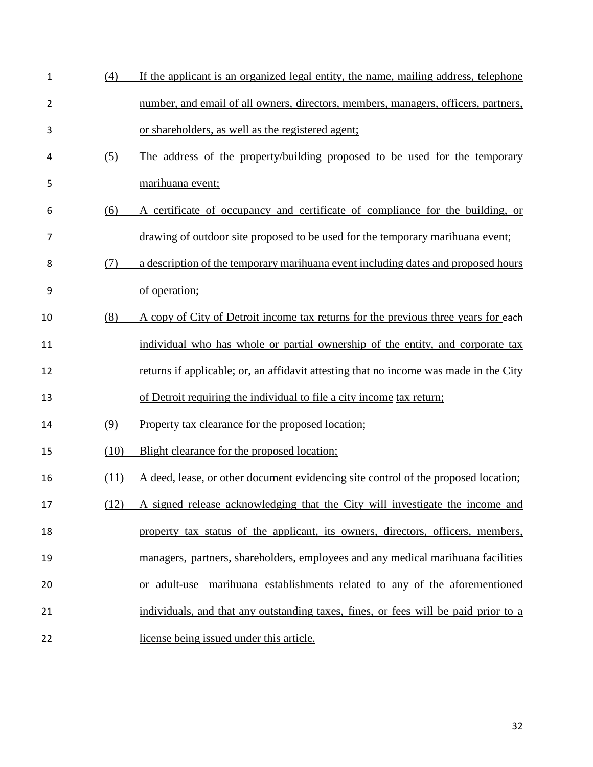| $\mathbf 1$    | (4)  | If the applicant is an organized legal entity, the name, mailing address, telephone   |
|----------------|------|---------------------------------------------------------------------------------------|
| $\overline{2}$ |      | number, and email of all owners, directors, members, managers, officers, partners,    |
| 3              |      | or shareholders, as well as the registered agent;                                     |
| 4              | (5)  | The address of the property/building proposed to be used for the temporary            |
| 5              |      | marihuana event;                                                                      |
| 6              | (6)  | A certificate of occupancy and certificate of compliance for the building, or         |
| 7              |      | drawing of outdoor site proposed to be used for the temporary marihuana event;        |
| 8              | (7)  | a description of the temporary marihuana event including dates and proposed hours     |
| 9              |      | of operation;                                                                         |
| 10             | (8)  | A copy of City of Detroit income tax returns for the previous three years for each    |
| 11             |      | individual who has whole or partial ownership of the entity, and corporate tax        |
| 12             |      | returns if applicable; or, an affidavit attesting that no income was made in the City |
| 13             |      | of Detroit requiring the individual to file a city income tax return;                 |
| 14             | (9)  | Property tax clearance for the proposed location;                                     |
| 15             | (10) | Blight clearance for the proposed location;                                           |
| 16             | (11) | A deed, lease, or other document evidencing site control of the proposed location;    |
| 17             |      | (12) A signed release acknowledging that the City will investigate the income and     |
| 18             |      | property tax status of the applicant, its owners, directors, officers, members,       |
| 19             |      | managers, partners, shareholders, employees and any medical marihuana facilities      |
| 20             |      | or adult-use marihuana establishments related to any of the aforementioned            |
| 21             |      | individuals, and that any outstanding taxes, fines, or fees will be paid prior to a   |
| 22             |      | license being issued under this article.                                              |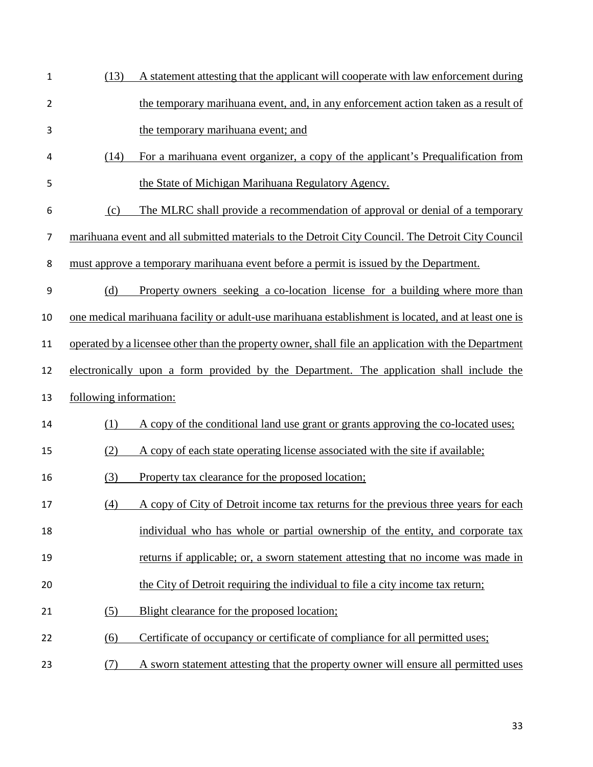| 1              | (13)                   | A statement attesting that the applicant will cooperate with law enforcement during                 |
|----------------|------------------------|-----------------------------------------------------------------------------------------------------|
| $\overline{2}$ |                        | the temporary marihuana event, and, in any enforcement action taken as a result of                  |
| 3              |                        | the temporary marihuana event; and                                                                  |
| 4              | (14)                   | For a marihuana event organizer, a copy of the applicant's Prequalification from                    |
| 5              |                        | the State of Michigan Marihuana Regulatory Agency.                                                  |
| 6              | (c)                    | The MLRC shall provide a recommendation of approval or denial of a temporary                        |
| $\overline{7}$ |                        | marihuana event and all submitted materials to the Detroit City Council. The Detroit City Council   |
| 8              |                        | must approve a temporary marihuana event before a permit is issued by the Department.               |
| 9              | (d)                    | Property owners seeking a co-location license for a building where more than                        |
| 10             |                        | one medical marihuana facility or adult-use marihuana establishment is located, and at least one is |
| 11             |                        | operated by a licensee other than the property owner, shall file an application with the Department |
| 12             |                        | electronically upon a form provided by the Department. The application shall include the            |
| 13             | following information: |                                                                                                     |
| 14             | (1)                    | A copy of the conditional land use grant or grants approving the co-located uses;                   |
| 15             | (2)                    | A copy of each state operating license associated with the site if available;                       |
| 16             | (3)                    | Property tax clearance for the proposed location;                                                   |
| 17             | (4)                    | A copy of City of Detroit income tax returns for the previous three years for each                  |
| 18             |                        | individual who has whole or partial ownership of the entity, and corporate tax                      |
| 19             |                        | returns if applicable; or, a sworn statement attesting that no income was made in                   |
| 20             |                        | the City of Detroit requiring the individual to file a city income tax return;                      |
| 21             | (5)                    | Blight clearance for the proposed location;                                                         |
| 22             | (6)                    | Certificate of occupancy or certificate of compliance for all permitted uses;                       |
| 23             | (7)                    | A sworn statement attesting that the property owner will ensure all permitted uses                  |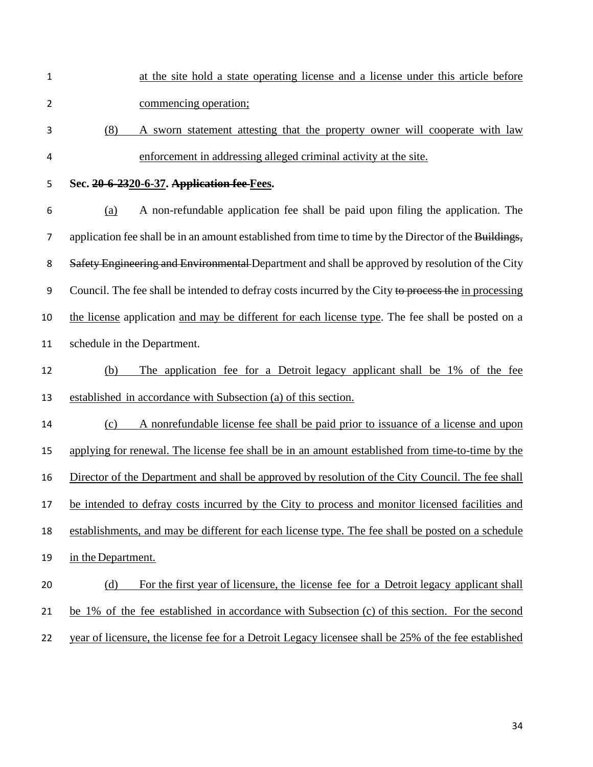- at the site hold a state operating license and a license under this article before commencing operation;
- (8) A sworn statement attesting that the property owner will cooperate with law enforcement in addressing alleged criminal activity at the site.
- 

## **Sec. 20-6-2320-6-37. Application fee Fees.**

 (a) A non-refundable application fee shall be paid upon filing the application. The 7 application fee shall be in an amount established from time to time by the Director of the Buildings, 8 Safety Engineering and Environmental Department and shall be approved by resolution of the City 9 Council. The fee shall be intended to defray costs incurred by the City to process the in processing the license application and may be different for each license type. The fee shall be posted on a schedule in the Department.

 (b) The application fee for a Detroit legacy applicant shall be 1% of the fee established in accordance with Subsection (a) of this section.

 (c) A nonrefundable license fee shall be paid prior to issuance of a license and upon applying for renewal. The license fee shall be in an amount established from time-to-time by the Director of the Department and shall be approved by resolution of the City Council. The fee shall be intended to defray costs incurred by the City to process and monitor licensed facilities and establishments, and may be different for each license type. The fee shall be posted on a schedule in the Department.

# (d) For the first year of licensure, the license fee for a Detroit legacy applicant shall be 1% of the fee established in accordance with Subsection (c) of this section. For the second year of licensure, the license fee for a Detroit Legacy licensee shall be 25% of the fee established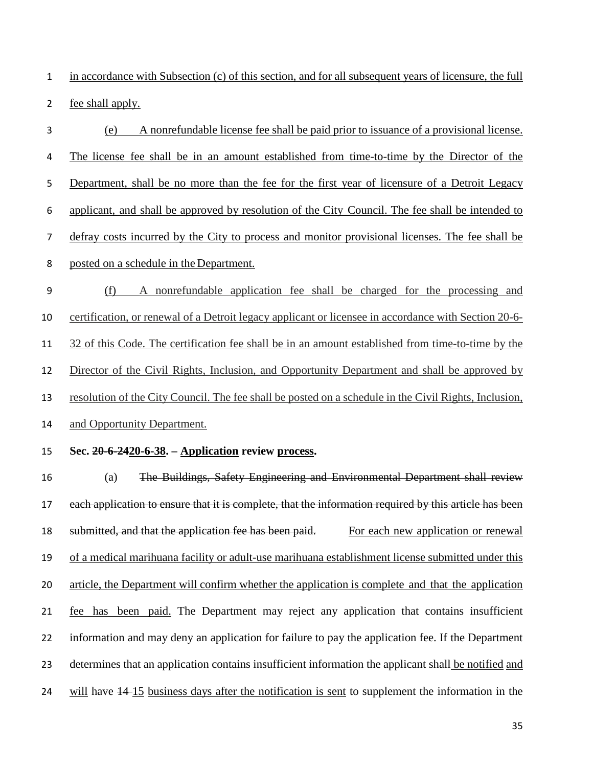in accordance with Subsection (c) of this section, and for all subsequent years of licensure, the full fee shall apply.

 (e) A nonrefundable license fee shall be paid prior to issuance of a provisional license. The license fee shall be in an amount established from time-to-time by the Director of the Department, shall be no more than the fee for the first year of licensure of a Detroit Legacy applicant, and shall be approved by resolution of the City Council. The fee shall be intended to defray costs incurred by the City to process and monitor provisional licenses. The fee shall be posted on a schedule in the Department. (f) A nonrefundable application fee shall be charged for the processing and certification, or renewal of a Detroit legacy applicant or licensee in accordance with Section 20-6- 32 of this Code. The certification fee shall be in an amount established from time-to-time by the Director of the Civil Rights, Inclusion, and Opportunity Department and shall be approved by resolution of the City Council. The fee shall be posted on a schedule in the Civil Rights, Inclusion, and Opportunity Department.

#### **Sec. 20-6-2420-6-38. – Application review process.**

 (a) The Buildings, Safety Engineering and Environmental Department shall review 17 each application to ensure that it is complete, that the information required by this article has been 18 submitted, and that the application fee has been paid. For each new application or renewal of a medical marihuana facility or adult-use marihuana establishment license submitted under this article, the Department will confirm whether the application is complete and that the application fee has been paid. The Department may reject any application that contains insufficient information and may deny an application for failure to pay the application fee. If the Department 23 determines that an application contains insufficient information the applicant shall be notified and 24 will have  $\frac{14 \cdot 15}{15}$  business days after the notification is sent to supplement the information in the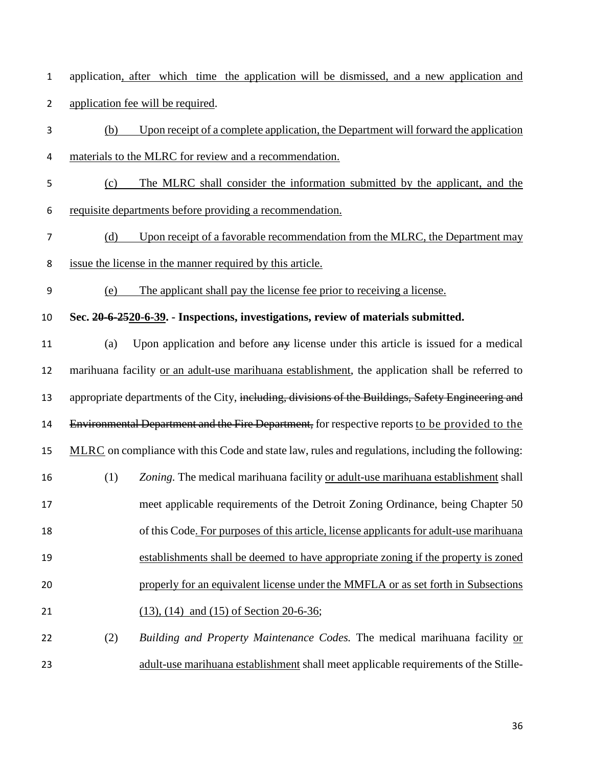application, after which time the application will be dismissed, and a new application and application fee will be required.

- (b) Upon receipt of a complete application, the Department will forward the application materials to the MLRC for review and a recommendation.
- (c) The MLRC shall consider the information submitted by the applicant, and the requisite departments before providing a recommendation.
- (d) Upon receipt of a favorable recommendation from the MLRC, the Department may issue the license in the manner required by this article.
- (e) The applicant shall pay the license fee prior to receiving a license.
- **Sec. 20-6-2520-6-39. - Inspections, investigations, review of materials submitted.**
- (a) Upon application and before any license under this article is issued for a medical 12 marihuana facility or an adult-use marihuana establishment, the application shall be referred to 13 appropriate departments of the City, including, divisions of the Buildings, Safety Engineering and 14 Environmental Department and the Fire Department, for respective reports to be provided to the MLRC on compliance with this Code and state law, rules and regulations, including the following: (1) *Zoning.* The medical marihuana facility or adult-use marihuana establishment shall meet applicable requirements of the Detroit Zoning Ordinance, being Chapter 50 of this Code. For purposes of this article, license applicants for adult-use marihuana establishments shall be deemed to have appropriate zoning if the property is zoned properly for an equivalent license under the MMFLA or as set forth in Subsections (13), (14) and (15) of Section 20-6-36;
- (2) *Building and Property Maintenance Codes.* The medical marihuana facility or adult-use marihuana establishment shall meet applicable requirements of the Stille-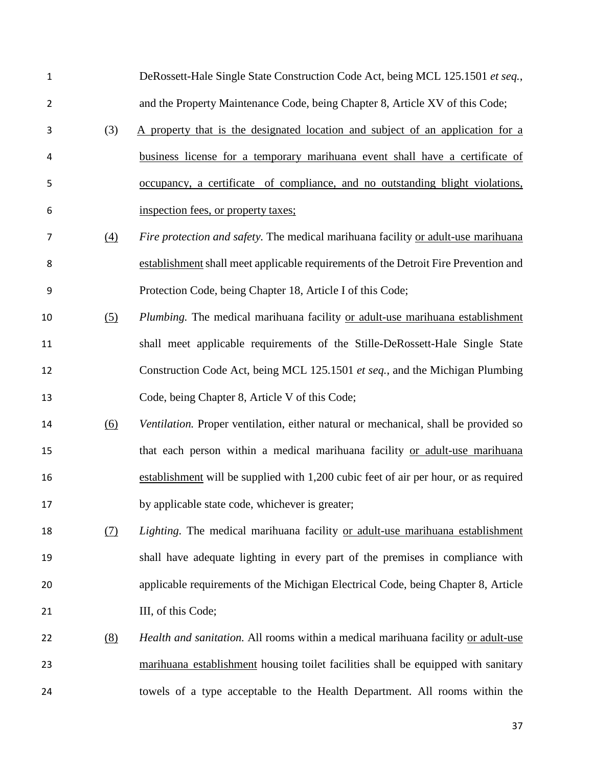| $\mathbf{1}$     |                   | DeRossett-Hale Single State Construction Code Act, being MCL 125.1501 et seq.,       |
|------------------|-------------------|--------------------------------------------------------------------------------------|
| $\overline{2}$   |                   | and the Property Maintenance Code, being Chapter 8, Article XV of this Code;         |
| 3                | (3)               | A property that is the designated location and subject of an application for a       |
| 4                |                   | business license for a temporary marihuana event shall have a certificate of         |
| 5                |                   | occupancy, a certificate of compliance, and no outstanding blight violations,        |
| 6                |                   | inspection fees, or property taxes;                                                  |
| 7                | (4)               | Fire protection and safety. The medical marihuana facility or adult-use marihuana    |
| 8                |                   | establishment shall meet applicable requirements of the Detroit Fire Prevention and  |
| $\boldsymbol{9}$ |                   | Protection Code, being Chapter 18, Article I of this Code;                           |
| 10               | (5)               | Plumbing. The medical marihuana facility or adult-use marihuana establishment        |
| 11               |                   | shall meet applicable requirements of the Stille-DeRossett-Hale Single State         |
| 12               |                   | Construction Code Act, being MCL 125.1501 et seq., and the Michigan Plumbing         |
| 13               |                   | Code, being Chapter 8, Article V of this Code;                                       |
|                  | $\underline{(6)}$ | Ventilation. Proper ventilation, either natural or mechanical, shall be provided so  |
| 14               |                   |                                                                                      |
| 15               |                   | that each person within a medical marihuana facility or adult-use marihuana          |
| 16               |                   | establishment will be supplied with 1,200 cubic feet of air per hour, or as required |
| 17               |                   | by applicable state code, whichever is greater;                                      |
| 18               | (7)               | Lighting. The medical marihuana facility or adult-use marihuana establishment        |
| 19               |                   | shall have adequate lighting in every part of the premises in compliance with        |
| 20               |                   | applicable requirements of the Michigan Electrical Code, being Chapter 8, Article    |
| 21               |                   | III, of this Code;                                                                   |
| 22               | (8)               | Health and sanitation. All rooms within a medical marihuana facility or adult-use    |
| 23               |                   | marihuana establishment housing toilet facilities shall be equipped with sanitary    |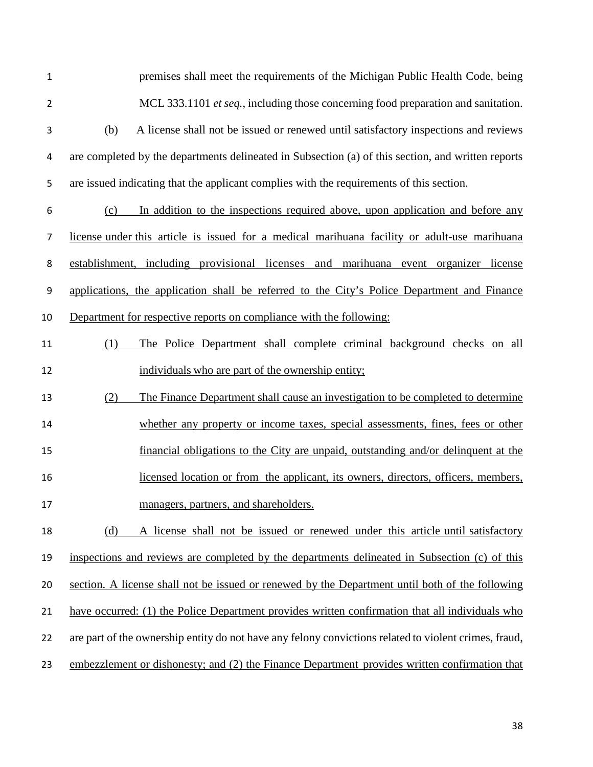| 1              | premises shall meet the requirements of the Michigan Public Health Code, being                        |
|----------------|-------------------------------------------------------------------------------------------------------|
| $\overline{2}$ | MCL 333.1101 et seq., including those concerning food preparation and sanitation.                     |
| 3              | A license shall not be issued or renewed until satisfactory inspections and reviews<br>(b)            |
| 4              | are completed by the departments delineated in Subsection (a) of this section, and written reports    |
| 5              | are issued indicating that the applicant complies with the requirements of this section.              |
| 6              | In addition to the inspections required above, upon application and before any<br>(c)                 |
| 7              | license under this article is issued for a medical marihuana facility or adult-use marihuana          |
| 8              | establishment, including provisional licenses and marihuana event organizer license                   |
| 9              | applications, the application shall be referred to the City's Police Department and Finance           |
| 10             | Department for respective reports on compliance with the following:                                   |
| 11             | The Police Department shall complete criminal background checks on all<br>(1)                         |
| 12             | individuals who are part of the ownership entity;                                                     |
| 13             | The Finance Department shall cause an investigation to be completed to determine<br>(2)               |
| 14             | whether any property or income taxes, special assessments, fines, fees or other                       |
| 15             | financial obligations to the City are unpaid, outstanding and/or delinquent at the                    |
| 16             | licensed location or from the applicant, its owners, directors, officers, members,                    |
| 17             | managers, partners, and shareholders.                                                                 |
| 18             | (d)<br>A license shall not be issued or renewed under this article until satisfactory                 |
| 19             | inspections and reviews are completed by the departments delineated in Subsection (c) of this         |
| 20             | section. A license shall not be issued or renewed by the Department until both of the following       |
| 21             | have occurred: (1) the Police Department provides written confirmation that all individuals who       |
| 22             | are part of the ownership entity do not have any felony convictions related to violent crimes, fraud, |
| 23             | embezzlement or dishonesty; and (2) the Finance Department provides written confirmation that         |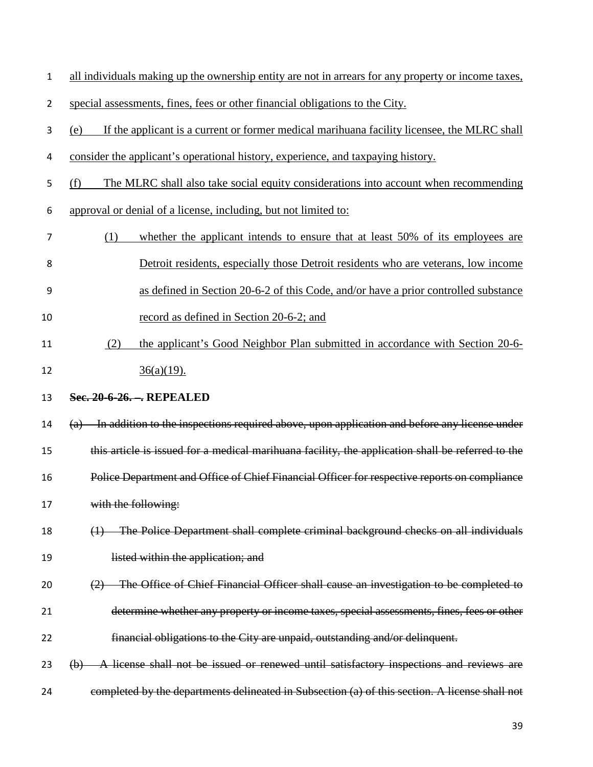| all individuals making up the ownership entity are not in arrears for any property or income taxes, |
|-----------------------------------------------------------------------------------------------------|
|-----------------------------------------------------------------------------------------------------|

special assessments, fines, fees or other financial obligations to the City.

- (e) If the applicant is a current or former medical marihuana facility licensee, the MLRC shall
- 4 consider the applicant's operational history, experience, and taxpaying history.
- (f) The MLRC shall also take social equity considerations into account when recommending
- approval or denial of a license, including, but not limited to:
- (1) whether the applicant intends to ensure that at least 50% of its employees are Detroit residents, especially those Detroit residents who are veterans, low income as defined in Section 20-6-2 of this Code, and/or have a prior controlled substance
- record as defined in Section 20-6-2; and
- (2) the applicant's Good Neighbor Plan submitted in accordance with Section 20-6- 12  $36(a)(19)$ .
- **Sec. 20-6-26. –. REPEALED**
- (a) In addition to the inspections required above, upon application and before any license under this article is issued for a medical marihuana facility, the application shall be referred to the Police Department and Office of Chief Financial Officer for respective reports on compliance 17 with the following:
- (1) The Police Department shall complete criminal background checks on all individuals 19 listed within the application; and
- (2) The Office of Chief Financial Officer shall cause an investigation to be completed to
- determine whether any property or income taxes, special assessments, fines, fees or other
- financial obligations to the City are unpaid, outstanding and/or delinquent.
- (b) A license shall not be issued or renewed until satisfactory inspections and reviews are
- completed by the departments delineated in Subsection (a) of this section. A license shall not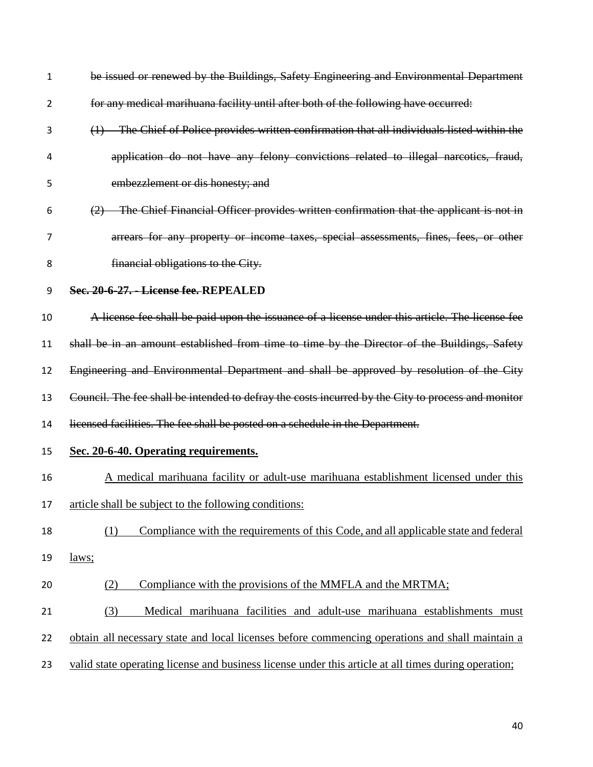| 1              | be issued or renewed by the Buildings, Safety Engineering and Environmental Department               |
|----------------|------------------------------------------------------------------------------------------------------|
| $\overline{2}$ | for any medical marihuana facility until after both of the following have occurred:                  |
| 3              | (1) The Chief of Police provides written confirmation that all individuals listed within the         |
| 4              | application do not have any felony convictions related to illegal narcotics, fraud,                  |
| 5              | embezzlement or dis honesty; and                                                                     |
| 6              | (2) The Chief Financial Officer provides written confirmation that the applicant is not in           |
| 7              | arrears for any property or income taxes, special assessments, fines, fees, or other                 |
| 8              | financial obligations to the City.                                                                   |
| 9              | Sec. 20-6-27. - License fee. REPEALED                                                                |
| 10             | A license fee shall be paid upon the issuance of a license under this article. The license fee       |
| 11             | shall be in an amount established from time to time by the Director of the Buildings, Safety         |
| 12             | Engineering and Environmental Department and shall be approved by resolution of the City             |
| 13             | Council. The fee shall be intended to defray the costs incurred by the City to process and monitor   |
| 14             | licensed facilities. The fee shall be posted on a schedule in the Department.                        |
| 15             | Sec. 20-6-40. Operating requirements.                                                                |
| 16             | A medical marihuana facility or adult-use marihuana establishment licensed under this                |
| 17             | article shall be subject to the following conditions:                                                |
| 18             | Compliance with the requirements of this Code, and all applicable state and federal<br>(1)           |
| 19             | laws;                                                                                                |
| 20             | Compliance with the provisions of the MMFLA and the MRTMA;<br>(2)                                    |
| 21             | Medical marihuana facilities and adult-use marihuana establishments must<br>(3)                      |
| 22             | obtain all necessary state and local licenses before commencing operations and shall maintain a      |
| 23             | valid state operating license and business license under this article at all times during operation; |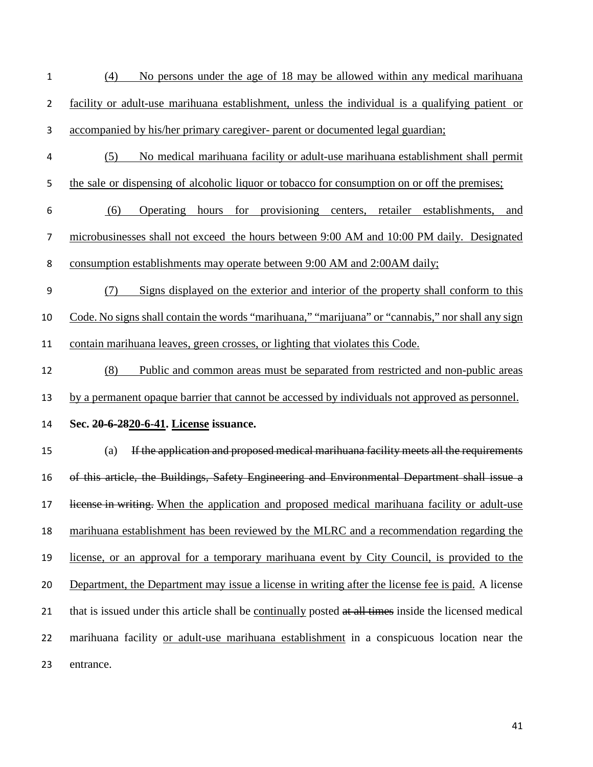- (4) No persons under the age of 18 may be allowed within any medical marihuana facility or adult-use marihuana establishment, unless the individual is a qualifying patient or accompanied by his/her primary caregiver- parent or documented legal guardian;
- (5) No medical marihuana facility or adult-use marihuana establishment shall permit
- 5 the sale or dispensing of alcoholic liquor or tobacco for consumption on or off the premises;
- (6) Operating hours for provisioning centers, retailer establishments, and microbusinesses shall not exceed the hours between 9:00 AM and 10:00 PM daily. Designated consumption establishments may operate between 9:00 AM and 2:00AM daily;
- (7) Signs displayed on the exterior and interior of the property shall conform to this Code. No signs shall contain the words "marihuana," "marijuana" or "cannabis," nor shall any sign
- contain marihuana leaves, green crosses, or lighting that violates this Code.
- (8) Public and common areas must be separated from restricted and non-public areas by a permanent opaque barrier that cannot be accessed by individuals not approved as personnel.
- **Sec. 20-6-2820-6-41. License issuance.**

 (a) If the application and proposed medical marihuana facility meets all the requirements of this article, the Buildings, Safety Engineering and Environmental Department shall issue a 17 license in writing. When the application and proposed medical marihuana facility or adult-use marihuana establishment has been reviewed by the MLRC and a recommendation regarding the license, or an approval for a temporary marihuana event by City Council, is provided to the Department, the Department may issue a license in writing after the license fee is paid. A license 21 that is issued under this article shall be continually posted at all times inside the licensed medical marihuana facility or adult-use marihuana establishment in a conspicuous location near the entrance.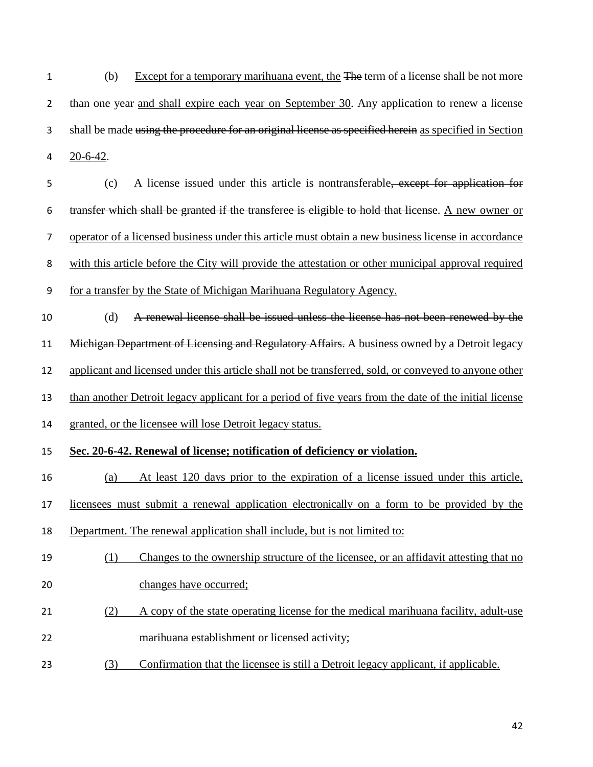(b) Except for a temporary marihuana event, the The term of a license shall be not more than one year and shall expire each year on September 30. Any application to renew a license shall be made using the procedure for an original license as specified herein as specified in Section 20-6-42.

 (c) A license issued under this article is nontransferable, except for application for transfer which shall be granted if the transferee is eligible to hold that license. A new owner or operator of a licensed business under this article must obtain a new business license in accordance with this article before the City will provide the attestation or other municipal approval required

for a transfer by the State of Michigan Marihuana Regulatory Agency.

 (d) A renewal license shall be issued unless the license has not been renewed by the 11 Michigan Department of Licensing and Regulatory Affairs. A business owned by a Detroit legacy applicant and licensed under this article shall not be transferred, sold, or conveyed to anyone other than another Detroit legacy applicant for a period of five years from the date of the initial license

granted, or the licensee will lose Detroit legacy status.

## **Sec. 20-6-42. Renewal of license; notification of deficiency or violation.**

- (a) At least 120 days prior to the expiration of a license issued under this article,
- licensees must submit a renewal application electronically on a form to be provided by the
- Department. The renewal application shall include, but is not limited to:

## (1) Changes to the ownership structure of the licensee, or an affidavit attesting that no changes have occurred;

- (2) A copy of the state operating license for the medical marihuana facility, adult-use marihuana establishment or licensed activity;
- (3) Confirmation that the licensee is still a Detroit legacy applicant, if applicable.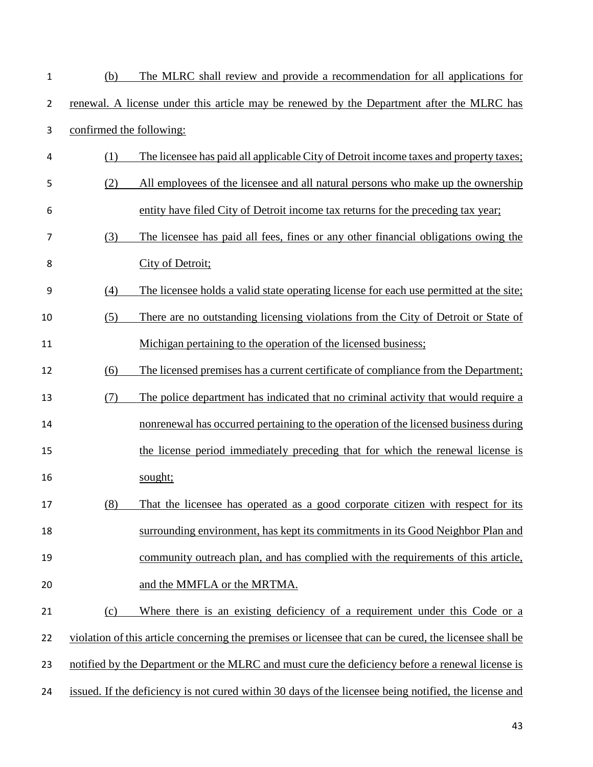| $\mathbf{1}$   | (b)                      | The MLRC shall review and provide a recommendation for all applications for                            |
|----------------|--------------------------|--------------------------------------------------------------------------------------------------------|
| $\overline{2}$ |                          | renewal. A license under this article may be renewed by the Department after the MLRC has              |
| 3              | confirmed the following: |                                                                                                        |
| $\overline{4}$ | (1)                      | The licensee has paid all applicable City of Detroit income taxes and property taxes;                  |
| 5              | (2)                      | All employees of the licensee and all natural persons who make up the ownership                        |
| 6              |                          | entity have filed City of Detroit income tax returns for the preceding tax year;                       |
| 7              | (3)                      | The licensee has paid all fees, fines or any other financial obligations owing the                     |
| 8              |                          | City of Detroit;                                                                                       |
| 9              | (4)                      | The licensee holds a valid state operating license for each use permitted at the site;                 |
| 10             | (5)                      | There are no outstanding licensing violations from the City of Detroit or State of                     |
| 11             |                          | Michigan pertaining to the operation of the licensed business;                                         |
| 12             | (6)                      | The licensed premises has a current certificate of compliance from the Department;                     |
| 13             | (7)                      | The police department has indicated that no criminal activity that would require a                     |
| 14             |                          | nonrenewal has occurred pertaining to the operation of the licensed business during                    |
| 15             |                          | the license period immediately preceding that for which the renewal license is                         |
| 16             |                          | sought;                                                                                                |
| 17             | (8)                      | That the licensee has operated as a good corporate citizen with respect for its                        |
| 18             |                          | surrounding environment, has kept its commitments in its Good Neighbor Plan and                        |
| 19             |                          | community outreach plan, and has complied with the requirements of this article,                       |
| 20             |                          | and the MMFLA or the MRTMA.                                                                            |
| 21             | (c)                      | Where there is an existing deficiency of a requirement under this Code or a                            |
| 22             |                          | violation of this article concerning the premises or licensee that can be cured, the licensee shall be |
| 23             |                          | notified by the Department or the MLRC and must cure the deficiency before a renewal license is        |
| 24             |                          | issued. If the deficiency is not cured within 30 days of the licensee being notified, the license and  |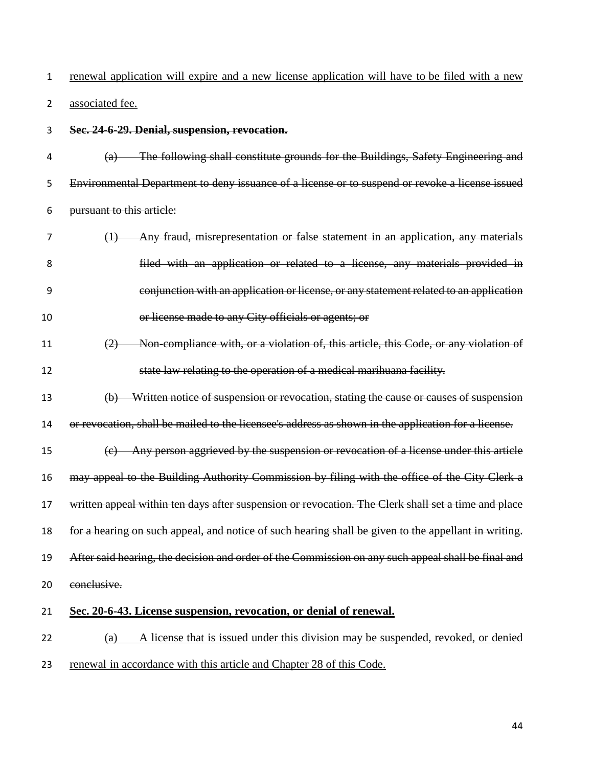renewal application will expire and a new license application will have to be filed with a new associated fee.

**Sec. 24-6-29. Denial, suspension, revocation.** 

 (a) The following shall constitute grounds for the Buildings, Safety Engineering and Environmental Department to deny issuance of a license or to suspend or revoke a license issued pursuant to this article:

- (1) Any fraud, misrepresentation or false statement in an application, any materials filed with an application or related to a license, any materials provided in conjunction with an application or license, or any statement related to an application or license made to any City officials or agents; or
- (2) Non-compliance with, or a violation of, this article, this Code, or any violation of state law relating to the operation of a medical marihuana facility.
- (b) Written notice of suspension or revocation, stating the cause or causes of suspension or revocation, shall be mailed to the licensee's address as shown in the application for a license.

 (c) Any person aggrieved by the suspension or revocation of a license under this article may appeal to the Building Authority Commission by filing with the office of the City Clerk a written appeal within ten days after suspension or revocation. The Clerk shall set a time and place for a hearing on such appeal, and notice of such hearing shall be given to the appellant in writing. After said hearing, the decision and order of the Commission on any such appeal shall be final and conclusive.

**Sec. 20-6-43. License suspension, revocation, or denial of renewal.**

 (a) A license that is issued under this division may be suspended, revoked, or denied renewal in accordance with this article and Chapter 28 of this Code.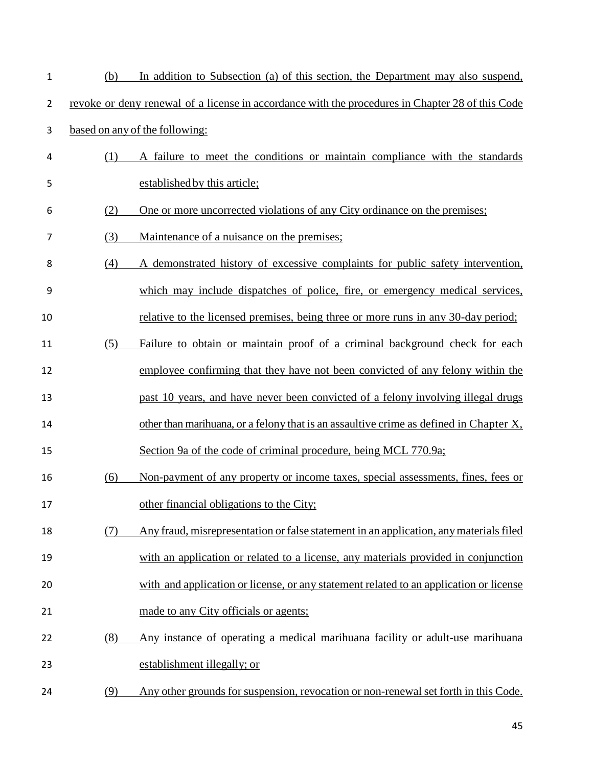| $\mathbf{1}$   | (b) | In addition to Subsection (a) of this section, the Department may also suspend,                  |
|----------------|-----|--------------------------------------------------------------------------------------------------|
| $\overline{2}$ |     | revoke or deny renewal of a license in accordance with the procedures in Chapter 28 of this Code |
| 3              |     | based on any of the following:                                                                   |
| 4              | (1) | A failure to meet the conditions or maintain compliance with the standards                       |
| 5              |     | established by this article;                                                                     |
| 6              | (2) | One or more uncorrected violations of any City ordinance on the premises;                        |
| 7              | (3) | Maintenance of a nuisance on the premises;                                                       |
| 8              | (4) | A demonstrated history of excessive complaints for public safety intervention,                   |
| 9              |     | which may include dispatches of police, fire, or emergency medical services,                     |
| 10             |     | relative to the licensed premises, being three or more runs in any 30-day period;                |
| 11             | (5) | Failure to obtain or maintain proof of a criminal background check for each                      |
| 12             |     | employee confirming that they have not been convicted of any felony within the                   |
| 13             |     | past 10 years, and have never been convicted of a felony involving illegal drugs                 |
| 14             |     | other than marihuana, or a felony that is an assaultive crime as defined in Chapter X,           |
| 15             |     | Section 9a of the code of criminal procedure, being MCL 770.9a;                                  |
| 16             | (6) | Non-payment of any property or income taxes, special assessments, fines, fees or                 |
| 17             |     | other financial obligations to the City;                                                         |
| 18             | (7) | Any fraud, misrepresentation or false statement in an application, any materials filed           |
| 19             |     | with an application or related to a license, any materials provided in conjunction               |
| 20             |     | with and application or license, or any statement related to an application or license           |
| 21             |     | made to any City officials or agents;                                                            |
| 22             | (8) | Any instance of operating a medical marihuana facility or adult-use marihuana                    |
| 23             |     | establishment illegally; or                                                                      |
| 24             | (9) | Any other grounds for suspension, revocation or non-renewal set forth in this Code.              |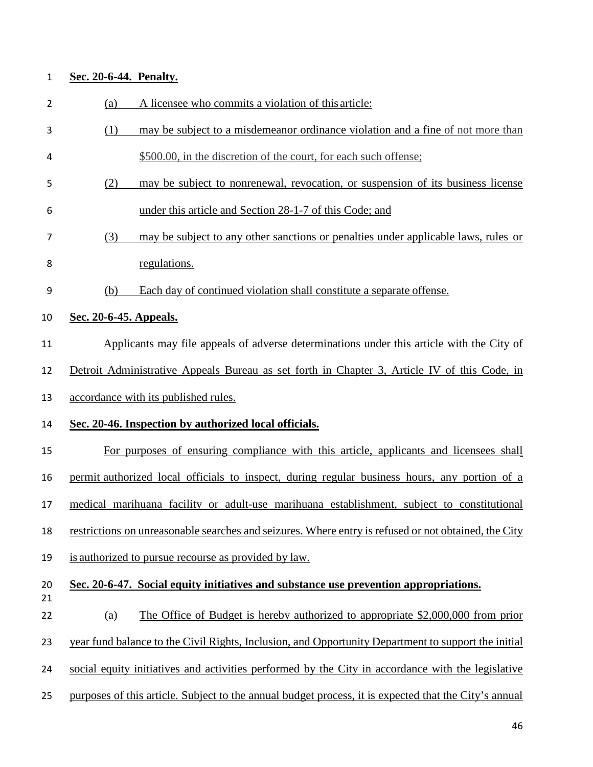| $\mathbf 1$    | Sec. 20-6-44. Penalty.                                                                                |
|----------------|-------------------------------------------------------------------------------------------------------|
| $\overline{2}$ | A licensee who commits a violation of this article:<br>(a)                                            |
| 3              | may be subject to a misdemeanor ordinance violation and a fine of not more than<br>(1)                |
| 4              | \$500.00, in the discretion of the court, for each such offense;                                      |
| 5              | (2)<br>may be subject to nonrenewal, revocation, or suspension of its business license                |
| 6              | under this article and Section 28-1-7 of this Code; and                                               |
| 7              | may be subject to any other sanctions or penalties under applicable laws, rules or<br>(3)             |
| 8              | regulations.                                                                                          |
| 9              | Each day of continued violation shall constitute a separate offense.<br>(b)                           |
| 10             | Sec. 20-6-45. Appeals.                                                                                |
| 11             | Applicants may file appeals of adverse determinations under this article with the City of             |
| 12             | Detroit Administrative Appeals Bureau as set forth in Chapter 3, Article IV of this Code, in          |
| 13             | accordance with its published rules.                                                                  |
| 14             | Sec. 20-46. Inspection by authorized local officials.                                                 |
| 15             | For purposes of ensuring compliance with this article, applicants and licensees shall                 |
| 16             | permit authorized local officials to inspect, during regular business hours, any portion of a         |
| 17             | medical marihuana facility or adult-use marihuana establishment, subject to constitutional            |
| 18             | restrictions on unreasonable searches and seizures. Where entry is refused or not obtained, the City  |
| 19             | is authorized to pursue recourse as provided by law.                                                  |
| 20<br>21       | Sec. 20-6-47. Social equity initiatives and substance use prevention appropriations.                  |
| 22             | The Office of Budget is hereby authorized to appropriate \$2,000,000 from prior<br>(a)                |
| 23             | year fund balance to the Civil Rights, Inclusion, and Opportunity Department to support the initial   |
| 24             | social equity initiatives and activities performed by the City in accordance with the legislative     |
| 25             | purposes of this article. Subject to the annual budget process, it is expected that the City's annual |